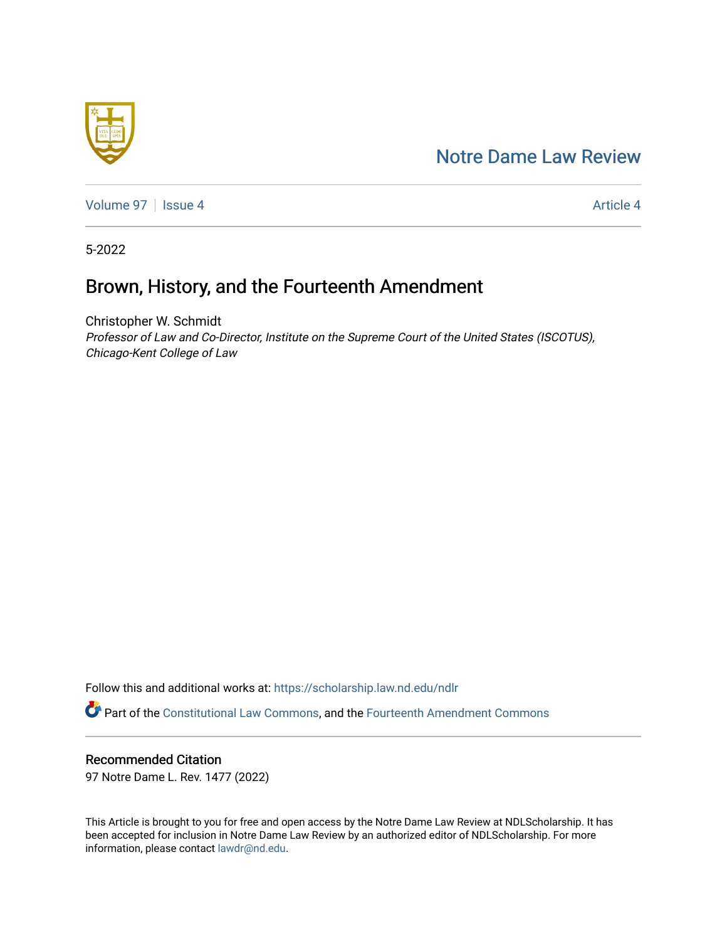## [Notre Dame Law Review](https://scholarship.law.nd.edu/ndlr)



[Volume 97](https://scholarship.law.nd.edu/ndlr/vol97) | [Issue 4](https://scholarship.law.nd.edu/ndlr/vol97/iss4) Article 4

5-2022

# Brown, History, and the Fourteenth Amendment

Christopher W. Schmidt Professor of Law and Co-Director, Institute on the Supreme Court of the United States (ISCOTUS), Chicago-Kent College of Law

Follow this and additional works at: [https://scholarship.law.nd.edu/ndlr](https://scholarship.law.nd.edu/ndlr?utm_source=scholarship.law.nd.edu%2Fndlr%2Fvol97%2Fiss4%2F4&utm_medium=PDF&utm_campaign=PDFCoverPages)

Part of the [Constitutional Law Commons,](https://network.bepress.com/hgg/discipline/589?utm_source=scholarship.law.nd.edu%2Fndlr%2Fvol97%2Fiss4%2F4&utm_medium=PDF&utm_campaign=PDFCoverPages) and the [Fourteenth Amendment Commons](https://network.bepress.com/hgg/discipline/1116?utm_source=scholarship.law.nd.edu%2Fndlr%2Fvol97%2Fiss4%2F4&utm_medium=PDF&utm_campaign=PDFCoverPages) 

## Recommended Citation

97 Notre Dame L. Rev. 1477 (2022)

This Article is brought to you for free and open access by the Notre Dame Law Review at NDLScholarship. It has been accepted for inclusion in Notre Dame Law Review by an authorized editor of NDLScholarship. For more information, please contact [lawdr@nd.edu.](mailto:lawdr@nd.edu)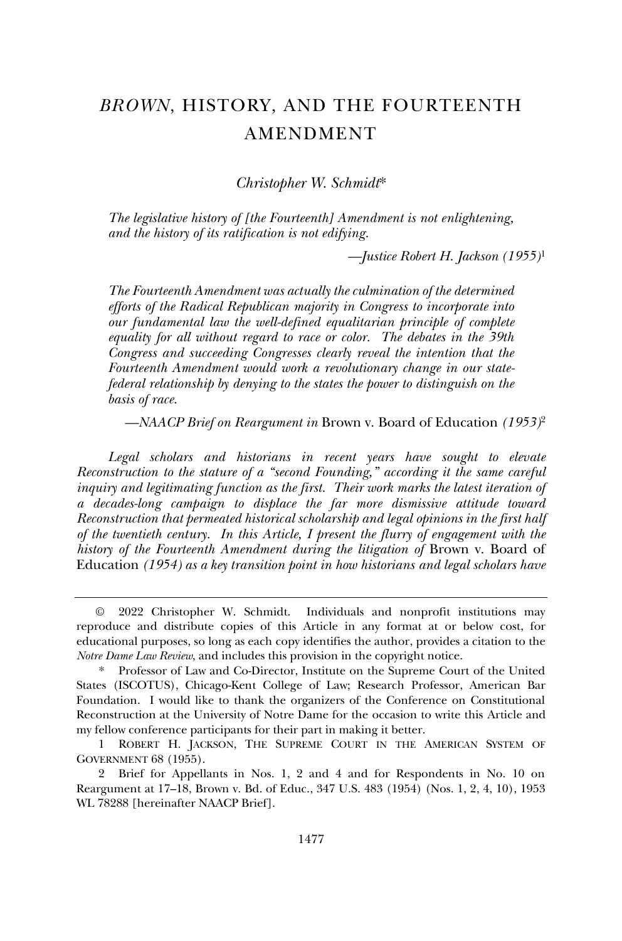## *BROWN*, HISTORY, AND THE FOURTEENTH AMENDMENT

*Christopher W. Schmidt*\*

*The legislative history of [the Fourteenth] Amendment is not enlightening, and the history of its ratification is not edifying.*

*—Justice Robert H. Jackson (1955)*<sup>1</sup>

*The Fourteenth Amendment was actually the culmination of the determined efforts of the Radical Republican majority in Congress to incorporate into our fundamental law the well-defined equalitarian principle of complete equality for all without regard to race or color. The debates in the 39th Congress and succeeding Congresses clearly reveal the intention that the Fourteenth Amendment would work a revolutionary change in our statefederal relationship by denying to the states the power to distinguish on the basis of race.*

*—NAACP Brief on Reargument in* Brown v. Board of Education *(1953)*<sup>2</sup>

Legal scholars and historians in recent years have sought to elevate *Reconstruction to the stature of a "second Founding," according it the same careful inquiry and legitimating function as the first. Their work marks the latest iteration of a decades-long campaign to displace the far more dismissive attitude toward Reconstruction that permeated historical scholarship and legal opinions in the first half of the twentieth century. In this Article, I present the flurry of engagement with the history of the Fourteenth Amendment during the litigation of Brown v. Board of* Education *(1954) as a key transition point in how historians and legal scholars have* 

<sup>©</sup> 2022 Christopher W. Schmidt. Individuals and nonprofit institutions may reproduce and distribute copies of this Article in any format at or below cost, for educational purposes, so long as each copy identifies the author, provides a citation to the *Notre Dame Law Review*, and includes this provision in the copyright notice.

<sup>\*</sup> Professor of Law and Co-Director, Institute on the Supreme Court of the United States (ISCOTUS), Chicago-Kent College of Law; Research Professor, American Bar Foundation. I would like to thank the organizers of the Conference on Constitutional Reconstruction at the University of Notre Dame for the occasion to write this Article and my fellow conference participants for their part in making it better.

<sup>1</sup> ROBERT H. JACKSON, THE SUPREME COURT IN THE AMERICAN SYSTEM OF GOVERNMENT 68 (1955).

<sup>2</sup> Brief for Appellants in Nos. 1, 2 and 4 and for Respondents in No. 10 on Reargument at 17–18, Brown v. Bd. of Educ., 347 U.S. 483 (1954) (Nos. 1, 2, 4, 10), 1953 WL 78288 [hereinafter NAACP Brief].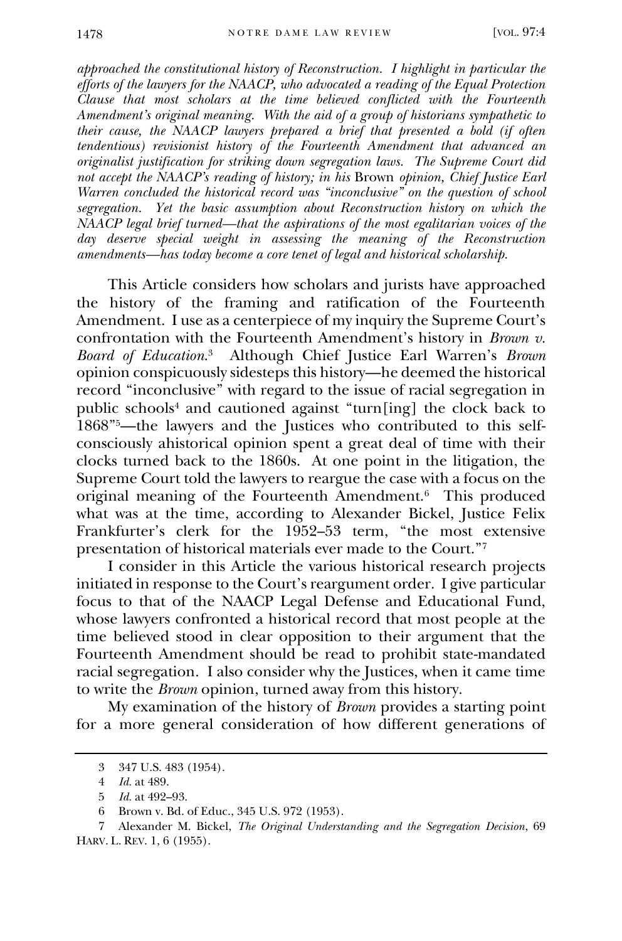*approached the constitutional history of Reconstruction. I highlight in particular the efforts of the lawyers for the NAACP, who advocated a reading of the Equal Protection Clause that most scholars at the time believed conflicted with the Fourteenth Amendment's original meaning. With the aid of a group of historians sympathetic to their cause, the NAACP lawyers prepared a brief that presented a bold (if often tendentious) revisionist history of the Fourteenth Amendment that advanced an originalist justification for striking down segregation laws. The Supreme Court did not accept the NAACP's reading of history; in his* Brown *opinion, Chief Justice Earl Warren concluded the historical record was "inconclusive" on the question of school segregation. Yet the basic assumption about Reconstruction history on which the NAACP legal brief turned—that the aspirations of the most egalitarian voices of the day deserve special weight in assessing the meaning of the Reconstruction amendments—has today become a core tenet of legal and historical scholarship.*

This Article considers how scholars and jurists have approached the history of the framing and ratification of the Fourteenth Amendment. I use as a centerpiece of my inquiry the Supreme Court's confrontation with the Fourteenth Amendment's history in *Brown v. Board of Education*. 3 Although Chief Justice Earl Warren's *Brown* opinion conspicuously sidesteps this history—he deemed the historical record "inconclusive" with regard to the issue of racial segregation in public schools<sup>4</sup> and cautioned against "turn[ing] the clock back to 1868"5—the lawyers and the Justices who contributed to this selfconsciously ahistorical opinion spent a great deal of time with their clocks turned back to the 1860s. At one point in the litigation, the Supreme Court told the lawyers to reargue the case with a focus on the original meaning of the Fourteenth Amendment.<sup>6</sup> This produced what was at the time, according to Alexander Bickel, Justice Felix Frankfurter's clerk for the 1952–53 term, "the most extensive presentation of historical materials ever made to the Court."<sup>7</sup>

I consider in this Article the various historical research projects initiated in response to the Court's reargument order. I give particular focus to that of the NAACP Legal Defense and Educational Fund, whose lawyers confronted a historical record that most people at the time believed stood in clear opposition to their argument that the Fourteenth Amendment should be read to prohibit state-mandated racial segregation. I also consider why the Justices, when it came time to write the *Brown* opinion, turned away from this history.

My examination of the history of *Brown* provides a starting point for a more general consideration of how different generations of

<sup>3</sup> 347 U.S. 483 (1954).

<sup>4</sup> *Id.* at 489.

<sup>5</sup> *Id.* at 492–93.

<sup>6</sup> Brown v. Bd. of Educ., 345 U.S. 972 (1953).

<sup>7</sup> Alexander M. Bickel, *The Original Understanding and the Segregation Decision*, 69 HARV. L. REV. 1, 6 (1955).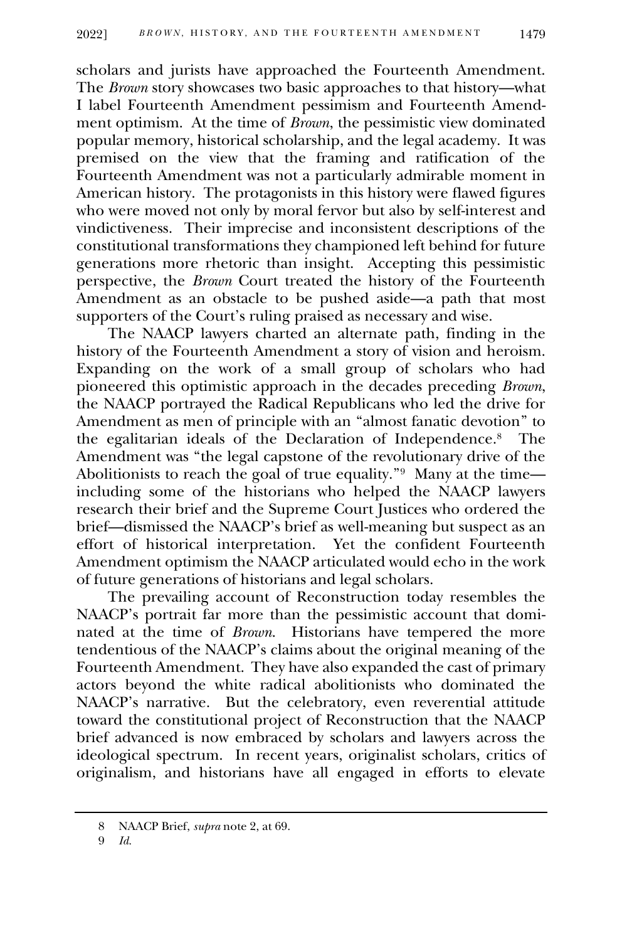scholars and jurists have approached the Fourteenth Amendment. The *Brown* story showcases two basic approaches to that history—what I label Fourteenth Amendment pessimism and Fourteenth Amendment optimism. At the time of *Brown*, the pessimistic view dominated popular memory, historical scholarship, and the legal academy. It was premised on the view that the framing and ratification of the Fourteenth Amendment was not a particularly admirable moment in American history. The protagonists in this history were flawed figures who were moved not only by moral fervor but also by self-interest and vindictiveness. Their imprecise and inconsistent descriptions of the constitutional transformations they championed left behind for future generations more rhetoric than insight. Accepting this pessimistic perspective, the *Brown* Court treated the history of the Fourteenth Amendment as an obstacle to be pushed aside—a path that most supporters of the Court's ruling praised as necessary and wise.

The NAACP lawyers charted an alternate path, finding in the history of the Fourteenth Amendment a story of vision and heroism. Expanding on the work of a small group of scholars who had pioneered this optimistic approach in the decades preceding *Brown*, the NAACP portrayed the Radical Republicans who led the drive for Amendment as men of principle with an "almost fanatic devotion" to the egalitarian ideals of the Declaration of Independence.<sup>8</sup> The Amendment was "the legal capstone of the revolutionary drive of the Abolitionists to reach the goal of true equality."<sup>9</sup> Many at the time including some of the historians who helped the NAACP lawyers research their brief and the Supreme Court Justices who ordered the brief—dismissed the NAACP's brief as well-meaning but suspect as an effort of historical interpretation. Yet the confident Fourteenth Amendment optimism the NAACP articulated would echo in the work of future generations of historians and legal scholars.

The prevailing account of Reconstruction today resembles the NAACP's portrait far more than the pessimistic account that dominated at the time of *Brown*. Historians have tempered the more tendentious of the NAACP's claims about the original meaning of the Fourteenth Amendment. They have also expanded the cast of primary actors beyond the white radical abolitionists who dominated the NAACP's narrative. But the celebratory, even reverential attitude toward the constitutional project of Reconstruction that the NAACP brief advanced is now embraced by scholars and lawyers across the ideological spectrum. In recent years, originalist scholars, critics of originalism, and historians have all engaged in efforts to elevate

<sup>8</sup> NAACP Brief, *supra* note 2, at 69.

<sup>9</sup> *Id.*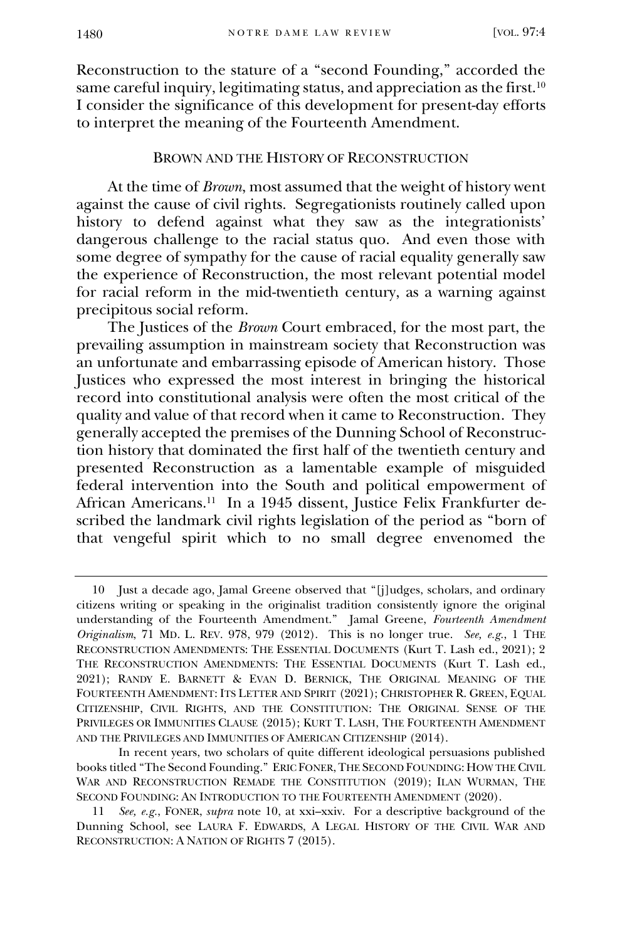Reconstruction to the stature of a "second Founding," accorded the same careful inquiry, legitimating status, and appreciation as the first.<sup>10</sup> I consider the significance of this development for present-day efforts to interpret the meaning of the Fourteenth Amendment.

### BROWN AND THE HISTORY OF RECONSTRUCTION

At the time of *Brown*, most assumed that the weight of history went against the cause of civil rights. Segregationists routinely called upon history to defend against what they saw as the integrationists' dangerous challenge to the racial status quo. And even those with some degree of sympathy for the cause of racial equality generally saw the experience of Reconstruction, the most relevant potential model for racial reform in the mid-twentieth century, as a warning against precipitous social reform.

The Justices of the *Brown* Court embraced, for the most part, the prevailing assumption in mainstream society that Reconstruction was an unfortunate and embarrassing episode of American history. Those Justices who expressed the most interest in bringing the historical record into constitutional analysis were often the most critical of the quality and value of that record when it came to Reconstruction. They generally accepted the premises of the Dunning School of Reconstruction history that dominated the first half of the twentieth century and presented Reconstruction as a lamentable example of misguided federal intervention into the South and political empowerment of African Americans.<sup>11</sup> In a 1945 dissent, Justice Felix Frankfurter described the landmark civil rights legislation of the period as "born of that vengeful spirit which to no small degree envenomed the

<sup>10</sup> Just a decade ago, Jamal Greene observed that "[j]udges, scholars, and ordinary citizens writing or speaking in the originalist tradition consistently ignore the original understanding of the Fourteenth Amendment." Jamal Greene, *Fourteenth Amendment Originalism*, 71 MD. L. REV. 978, 979 (2012). This is no longer true. *See, e.g.*, 1 THE RECONSTRUCTION AMENDMENTS: THE ESSENTIAL DOCUMENTS (Kurt T. Lash ed., 2021); 2 THE RECONSTRUCTION AMENDMENTS: THE ESSENTIAL DOCUMENTS (Kurt T. Lash ed., 2021); RANDY E. BARNETT & EVAN D. BERNICK, THE ORIGINAL MEANING OF THE FOURTEENTH AMENDMENT: ITS LETTER AND SPIRIT (2021); CHRISTOPHER R. GREEN, EQUAL CITIZENSHIP, CIVIL RIGHTS, AND THE CONSTITUTION: THE ORIGINAL SENSE OF THE PRIVILEGES OR IMMUNITIES CLAUSE (2015); KURT T. LASH, THE FOURTEENTH AMENDMENT AND THE PRIVILEGES AND IMMUNITIES OF AMERICAN CITIZENSHIP (2014).

In recent years, two scholars of quite different ideological persuasions published books titled "The Second Founding." ERIC FONER,THE SECOND FOUNDING: HOW THE CIVIL WAR AND RECONSTRUCTION REMADE THE CONSTITUTION (2019); ILAN WURMAN, THE SECOND FOUNDING: AN INTRODUCTION TO THE FOURTEENTH AMENDMENT (2020).

<sup>11</sup> *See, e.g.*, FONER, *supra* note 10, at xxi–xxiv. For a descriptive background of the Dunning School, see LAURA F. EDWARDS, A LEGAL HISTORY OF THE CIVIL WAR AND RECONSTRUCTION: A NATION OF RIGHTS 7 (2015).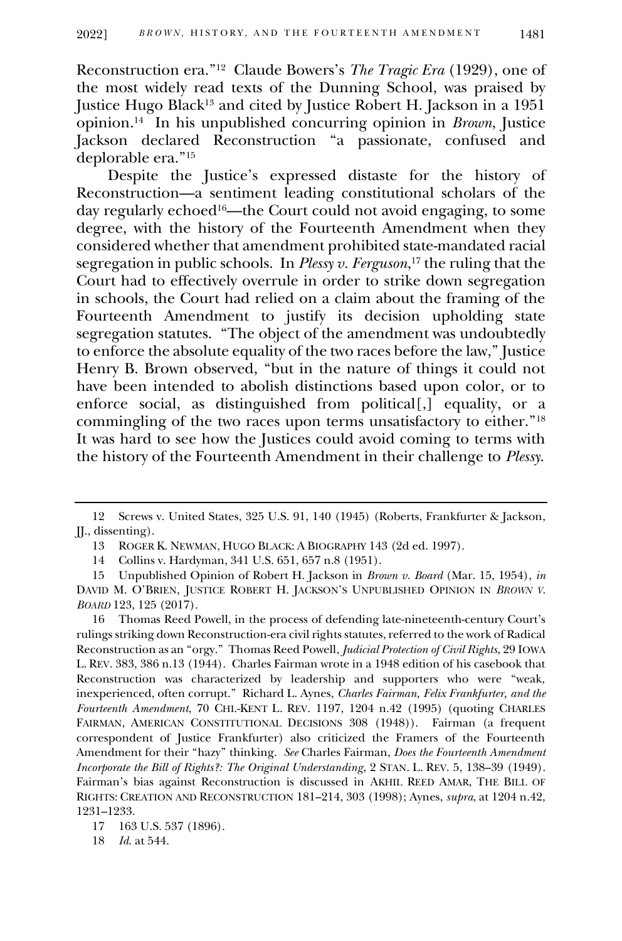Reconstruction era."<sup>12</sup> Claude Bowers's *The Tragic Era* (1929), one of the most widely read texts of the Dunning School, was praised by Justice Hugo Black<sup>13</sup> and cited by Justice Robert H. Jackson in a 1951 opinion.<sup>14</sup> In his unpublished concurring opinion in *Brown*, Justice Jackson declared Reconstruction "a passionate, confused and deplorable era."<sup>15</sup>

Despite the Justice's expressed distaste for the history of Reconstruction—a sentiment leading constitutional scholars of the day regularly echoed16—the Court could not avoid engaging, to some degree, with the history of the Fourteenth Amendment when they considered whether that amendment prohibited state-mandated racial segregation in public schools. In *Plessy v. Ferguson*, <sup>17</sup> the ruling that the Court had to effectively overrule in order to strike down segregation in schools, the Court had relied on a claim about the framing of the Fourteenth Amendment to justify its decision upholding state segregation statutes. "The object of the amendment was undoubtedly to enforce the absolute equality of the two races before the law," Justice Henry B. Brown observed, "but in the nature of things it could not have been intended to abolish distinctions based upon color, or to enforce social, as distinguished from political[,] equality, or a commingling of the two races upon terms unsatisfactory to either."<sup>18</sup> It was hard to see how the Justices could avoid coming to terms with the history of the Fourteenth Amendment in their challenge to *Plessy*.

14 Collins v. Hardyman, 341 U.S. 651, 657 n.8 (1951).

18 *Id.* at 544.

<sup>12</sup> Screws v. United States, 325 U.S. 91, 140 (1945) (Roberts, Frankfurter & Jackson, JJ., dissenting).

<sup>13</sup> ROGER K. NEWMAN, HUGO BLACK: A BIOGRAPHY 143 (2d ed. 1997).

<sup>15</sup> Unpublished Opinion of Robert H. Jackson in *Brown v. Board* (Mar. 15, 1954), *in* DAVID M. O'BRIEN, JUSTICE ROBERT H. JACKSON'S UNPUBLISHED OPINION IN *BROWN V. BOARD* 123, 125 (2017).

<sup>16</sup> Thomas Reed Powell, in the process of defending late-nineteenth-century Court's rulings striking down Reconstruction-era civil rights statutes, referred to the work of Radical Reconstruction as an "orgy." Thomas Reed Powell, *Judicial Protection of Civil Rights*, 29 IOWA L. REV. 383, 386 n.13 (1944). Charles Fairman wrote in a 1948 edition of his casebook that Reconstruction was characterized by leadership and supporters who were "weak, inexperienced, often corrupt." Richard L. Aynes, *Charles Fairman, Felix Frankfurter, and the Fourteenth Amendment*, 70 CHI.-KENT L. REV. 1197, 1204 n.42 (1995) (quoting CHARLES FAIRMAN, AMERICAN CONSTITUTIONAL DECISIONS 308 (1948)). Fairman (a frequent correspondent of Justice Frankfurter) also criticized the Framers of the Fourteenth Amendment for their "hazy" thinking. *See* Charles Fairman, *Does the Fourteenth Amendment Incorporate the Bill of Rights?: The Original Understanding*, 2 STAN. L. REV. 5, 138–39 (1949). Fairman's bias against Reconstruction is discussed in AKHIL REED AMAR, THE BILL OF RIGHTS: CREATION AND RECONSTRUCTION 181–214, 303 (1998); Aynes, *supra*, at 1204 n.42, 1231–1233.

<sup>17</sup> 163 U.S. 537 (1896).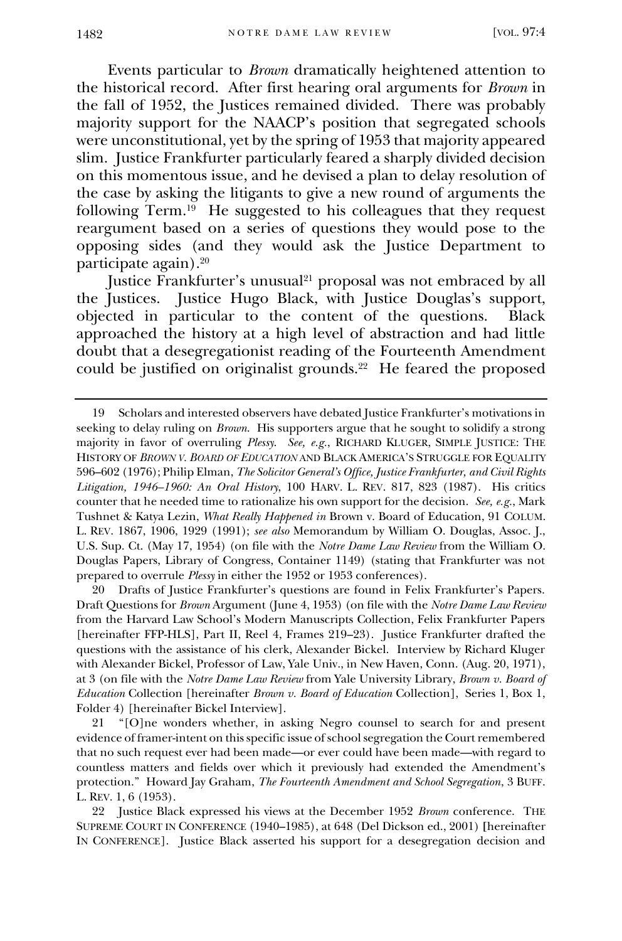Events particular to *Brown* dramatically heightened attention to the historical record. After first hearing oral arguments for *Brown* in the fall of 1952, the Justices remained divided. There was probably majority support for the NAACP's position that segregated schools were unconstitutional, yet by the spring of 1953 that majority appeared slim. Justice Frankfurter particularly feared a sharply divided decision on this momentous issue, and he devised a plan to delay resolution of the case by asking the litigants to give a new round of arguments the following Term.<sup>19</sup> He suggested to his colleagues that they request reargument based on a series of questions they would pose to the opposing sides (and they would ask the Justice Department to participate again).<sup>20</sup>

Justice Frankfurter's unusual<sup>21</sup> proposal was not embraced by all the Justices. Justice Hugo Black, with Justice Douglas's support, objected in particular to the content of the questions. Black approached the history at a high level of abstraction and had little doubt that a desegregationist reading of the Fourteenth Amendment could be justified on originalist grounds.<sup>22</sup> He feared the proposed

20 Drafts of Justice Frankfurter's questions are found in Felix Frankfurter's Papers. Draft Questions for *Brown* Argument (June 4, 1953) (on file with the *Notre Dame Law Review* from the Harvard Law School's Modern Manuscripts Collection, Felix Frankfurter Papers [hereinafter FFP-HLS], Part II, Reel 4, Frames 219–23). Justice Frankfurter drafted the questions with the assistance of his clerk, Alexander Bickel. Interview by Richard Kluger with Alexander Bickel, Professor of Law, Yale Univ., in New Haven, Conn. (Aug. 20, 1971), at 3 (on file with the *Notre Dame Law Review* from Yale University Library, *Brown v. Board of Education* Collection [hereinafter *Brown v. Board of Education* Collection], Series 1, Box 1, Folder 4) [hereinafter Bickel Interview].

21 "[O]ne wonders whether, in asking Negro counsel to search for and present evidence of framer-intent on this specific issue of school segregation the Court remembered that no such request ever had been made—or ever could have been made—with regard to countless matters and fields over which it previously had extended the Amendment's protection." Howard Jay Graham, *The Fourteenth Amendment and School Segregation*, 3 BUFF. L. REV. 1, 6 (1953).

22 Justice Black expressed his views at the December 1952 *Brown* conference. THE SUPREME COURT IN CONFERENCE (1940–1985), at 648 (Del Dickson ed., 2001) **[**hereinafter IN CONFERENCE]. Justice Black asserted his support for a desegregation decision and

<sup>19</sup> Scholars and interested observers have debated Justice Frankfurter's motivations in seeking to delay ruling on *Brown*. His supporters argue that he sought to solidify a strong majority in favor of overruling *Plessy*. *See, e.g.*, RICHARD KLUGER, SIMPLE JUSTICE: THE HISTORY OF *BROWN V. BOARD OF EDUCATION* AND BLACK AMERICA'S STRUGGLE FOR EQUALITY 596–602 (1976); Philip Elman, *The Solicitor General's Office, Justice Frankfurter, and Civil Rights Litigation, 1946–1960: An Oral History*, 100 HARV. L. REV. 817, 823 (1987). His critics counter that he needed time to rationalize his own support for the decision. *See, e.g.*, Mark Tushnet & Katya Lezin, *What Really Happened in* Brown v. Board of Education, 91 COLUM. L. REV. 1867, 1906, 1929 (1991); *see also* Memorandum by William O. Douglas, Assoc. J., U.S. Sup. Ct. (May 17, 1954) (on file with the *Notre Dame Law Review* from the William O. Douglas Papers, Library of Congress, Container 1149) (stating that Frankfurter was not prepared to overrule *Plessy* in either the 1952 or 1953 conferences).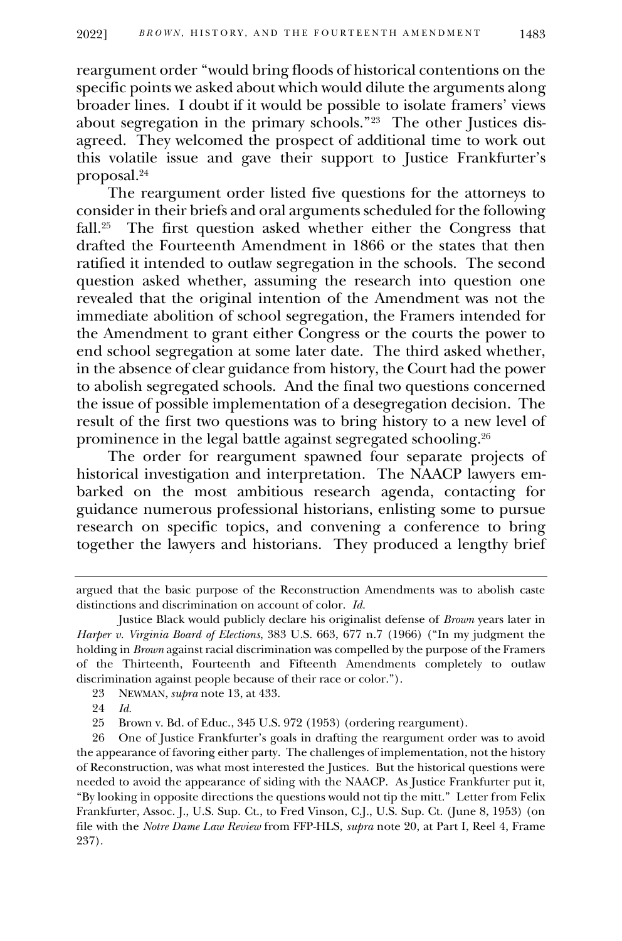reargument order "would bring floods of historical contentions on the specific points we asked about which would dilute the arguments along broader lines. I doubt if it would be possible to isolate framers' views about segregation in the primary schools."<sup>23</sup> The other Justices disagreed. They welcomed the prospect of additional time to work out this volatile issue and gave their support to Justice Frankfurter's proposal.<sup>24</sup>

The reargument order listed five questions for the attorneys to consider in their briefs and oral arguments scheduled for the following fall.<sup>25</sup> The first question asked whether either the Congress that drafted the Fourteenth Amendment in 1866 or the states that then ratified it intended to outlaw segregation in the schools. The second question asked whether, assuming the research into question one revealed that the original intention of the Amendment was not the immediate abolition of school segregation, the Framers intended for the Amendment to grant either Congress or the courts the power to end school segregation at some later date. The third asked whether, in the absence of clear guidance from history, the Court had the power to abolish segregated schools. And the final two questions concerned the issue of possible implementation of a desegregation decision. The result of the first two questions was to bring history to a new level of prominence in the legal battle against segregated schooling.<sup>26</sup>

The order for reargument spawned four separate projects of historical investigation and interpretation. The NAACP lawyers embarked on the most ambitious research agenda, contacting for guidance numerous professional historians, enlisting some to pursue research on specific topics, and convening a conference to bring together the lawyers and historians. They produced a lengthy brief

argued that the basic purpose of the Reconstruction Amendments was to abolish caste distinctions and discrimination on account of color. *Id.*

Justice Black would publicly declare his originalist defense of *Brown* years later in *Harper v. Virginia Board of Elections*, 383 U.S. 663, 677 n.7 (1966) ("In my judgment the holding in *Brown* against racial discrimination was compelled by the purpose of the Framers of the Thirteenth, Fourteenth and Fifteenth Amendments completely to outlaw discrimination against people because of their race or color.").

<sup>23</sup> NEWMAN, *supra* note 13, at 433.

<sup>24</sup> *Id.*

<sup>25</sup> Brown v. Bd. of Educ., 345 U.S. 972 (1953) (ordering reargument).

<sup>26</sup> One of Justice Frankfurter's goals in drafting the reargument order was to avoid the appearance of favoring either party. The challenges of implementation, not the history of Reconstruction, was what most interested the Justices. But the historical questions were needed to avoid the appearance of siding with the NAACP. As Justice Frankfurter put it, "By looking in opposite directions the questions would not tip the mitt." Letter from Felix Frankfurter, Assoc. J., U.S. Sup. Ct., to Fred Vinson, C.J., U.S. Sup. Ct. (June 8, 1953) (on file with the *Notre Dame Law Review* from FFP-HLS, *supra* note 20, at Part I, Reel 4, Frame 237).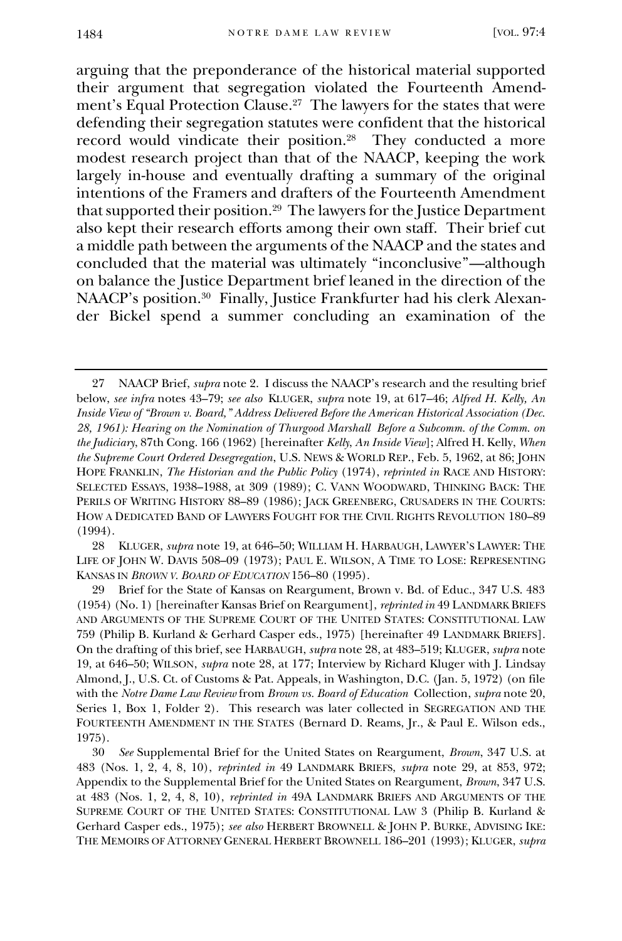arguing that the preponderance of the historical material supported their argument that segregation violated the Fourteenth Amendment's Equal Protection Clause.<sup>27</sup> The lawyers for the states that were defending their segregation statutes were confident that the historical record would vindicate their position.<sup>28</sup> They conducted a more modest research project than that of the NAACP, keeping the work largely in-house and eventually drafting a summary of the original intentions of the Framers and drafters of the Fourteenth Amendment that supported their position.<sup>29</sup> The lawyers for the Justice Department also kept their research efforts among their own staff. Their brief cut a middle path between the arguments of the NAACP and the states and concluded that the material was ultimately "inconclusive"—although on balance the Justice Department brief leaned in the direction of the NAACP's position.<sup>30</sup> Finally, Justice Frankfurter had his clerk Alexander Bickel spend a summer concluding an examination of the

28 KLUGER, *supra* note 19, at 646–50; WILLIAM H. HARBAUGH, LAWYER'S LAWYER: THE LIFE OF JOHN W. DAVIS 508–09 (1973); PAUL E. WILSON, A TIME TO LOSE: REPRESENTING KANSAS IN *BROWN V. BOARD OF EDUCATION* 156–80 (1995).

<sup>27</sup> NAACP Brief, *supra* note 2. I discuss the NAACP's research and the resulting brief below, *see infra* notes 43–79; *see also* KLUGER, *supra* note 19, at 617–46; *Alfred H. Kelly, An Inside View of "Brown v. Board," Address Delivered Before the American Historical Association (Dec. 28, 1961): Hearing on the Nomination of Thurgood Marshall Before a Subcomm. of the Comm. on the Judiciary*, 87th Cong. 166 (1962) [hereinafter *Kelly*, *An Inside View*]; Alfred H. Kelly, *When the Supreme Court Ordered Desegregation*, U.S. NEWS & WORLD REP., Feb. 5, 1962, at 86; JOHN HOPE FRANKLIN, *The Historian and the Public Policy* (1974), *reprinted in* RACE AND HISTORY: SELECTED ESSAYS, 1938–1988, at 309 (1989); C. VANN WOODWARD, THINKING BACK: THE PERILS OF WRITING HISTORY 88–89 (1986); JACK GREENBERG, CRUSADERS IN THE COURTS: HOW A DEDICATED BAND OF LAWYERS FOUGHT FOR THE CIVIL RIGHTS REVOLUTION 180–89 (1994).

<sup>29</sup> Brief for the State of Kansas on Reargument, Brown v. Bd. of Educ., 347 U.S. 483 (1954) (No. 1) [hereinafter Kansas Brief on Reargument], *reprinted in* 49 LANDMARK BRIEFS AND ARGUMENTS OF THE SUPREME COURT OF THE UNITED STATES: CONSTITUTIONAL LAW 759 (Philip B. Kurland & Gerhard Casper eds., 1975) [hereinafter 49 LANDMARK BRIEFS]. On the drafting of this brief, see HARBAUGH, *supra* note 28, at 483–519; KLUGER, *supra* note 19, at 646–50; WILSON, *supra* note 28, at 177; Interview by Richard Kluger with J. Lindsay Almond, J., U.S. Ct. of Customs & Pat. Appeals, in Washington, D.C. (Jan. 5, 1972) (on file with the *Notre Dame Law Review* from *Brown vs. Board of Education* Collection, *supra* note 20, Series 1, Box 1, Folder 2). This research was later collected in SEGREGATION AND THE FOURTEENTH AMENDMENT IN THE STATES (Bernard D. Reams, Jr., & Paul E. Wilson eds., 1975).

<sup>30</sup> *See* Supplemental Brief for the United States on Reargument, *Brown*, 347 U.S. at 483 (Nos. 1, 2, 4, 8, 10), *reprinted in* 49 LANDMARK BRIEFS, *supra* note 29, at 853, 972; Appendix to the Supplemental Brief for the United States on Reargument, *Brown*, 347 U.S. at 483 (Nos. 1, 2, 4, 8, 10), *reprinted in* 49A LANDMARK BRIEFS AND ARGUMENTS OF THE SUPREME COURT OF THE UNITED STATES: CONSTITUTIONAL LAW 3 (Philip B. Kurland & Gerhard Casper eds., 1975); *see also* HERBERT BROWNELL & JOHN P. BURKE, ADVISING IKE: THE MEMOIRS OF ATTORNEY GENERAL HERBERT BROWNELL 186–201 (1993); KLUGER, *supra*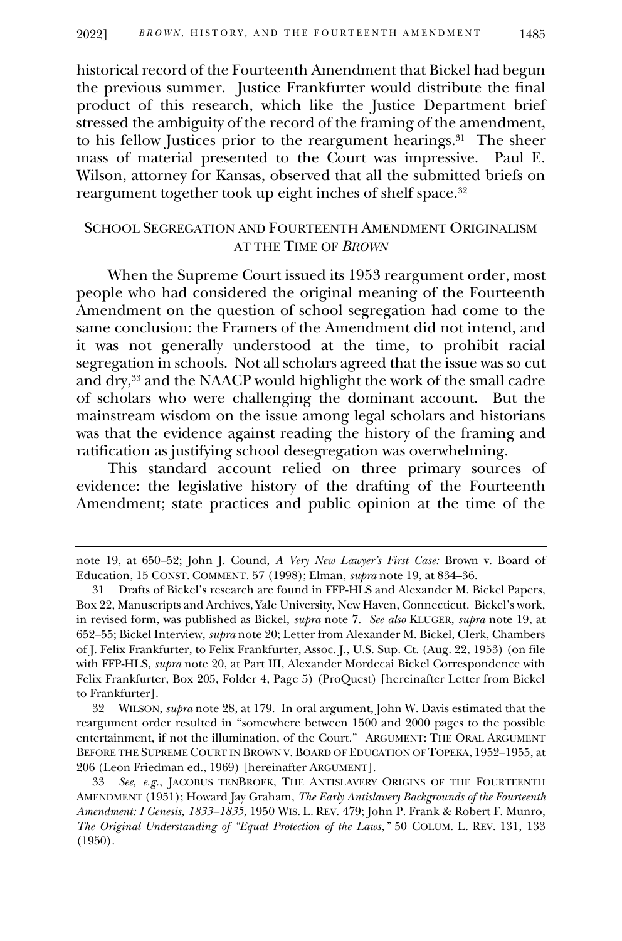historical record of the Fourteenth Amendment that Bickel had begun the previous summer. Justice Frankfurter would distribute the final product of this research, which like the Justice Department brief stressed the ambiguity of the record of the framing of the amendment, to his fellow Justices prior to the reargument hearings. 31 The sheer mass of material presented to the Court was impressive. Paul E. Wilson, attorney for Kansas, observed that all the submitted briefs on reargument together took up eight inches of shelf space.<sup>32</sup>

## SCHOOL SEGREGATION AND FOURTEENTH AMENDMENT ORIGINALISM AT THE TIME OF *BROWN*

When the Supreme Court issued its 1953 reargument order, most people who had considered the original meaning of the Fourteenth Amendment on the question of school segregation had come to the same conclusion: the Framers of the Amendment did not intend, and it was not generally understood at the time, to prohibit racial segregation in schools. Not all scholars agreed that the issue was so cut and dry,<sup>33</sup> and the NAACP would highlight the work of the small cadre of scholars who were challenging the dominant account. But the mainstream wisdom on the issue among legal scholars and historians was that the evidence against reading the history of the framing and ratification as justifying school desegregation was overwhelming.

This standard account relied on three primary sources of evidence: the legislative history of the drafting of the Fourteenth Amendment; state practices and public opinion at the time of the

note 19, at 650–52; John J. Cound, *A Very New Lawyer's First Case:* Brown v. Board of Education, 15 CONST. COMMENT. 57 (1998); Elman, *supra* note 19, at 834–36.

<sup>31</sup> Drafts of Bickel's research are found in FFP-HLS and Alexander M. Bickel Papers, Box 22, Manuscripts and Archives, Yale University, New Haven, Connecticut. Bickel's work, in revised form, was published as Bickel, *supra* note 7. *See also* KLUGER, *supra* note 19, at 652–55; Bickel Interview, *supra* note 20; Letter from Alexander M. Bickel, Clerk, Chambers of J. Felix Frankfurter, to Felix Frankfurter, Assoc. J., U.S. Sup. Ct. (Aug. 22, 1953) (on file with FFP-HLS, *supra* note 20, at Part III, Alexander Mordecai Bickel Correspondence with Felix Frankfurter, Box 205, Folder 4, Page 5) (ProQuest) [hereinafter Letter from Bickel to Frankfurter].

<sup>32</sup> WILSON, *supra* note 28, at 179. In oral argument, John W. Davis estimated that the reargument order resulted in "somewhere between 1500 and 2000 pages to the possible entertainment, if not the illumination, of the Court." ARGUMENT: THE ORAL ARGUMENT BEFORE THE SUPREME COURT IN BROWN V. BOARD OF EDUCATION OF TOPEKA, 1952–1955, at 206 (Leon Friedman ed., 1969) [hereinafter ARGUMENT].

<sup>33</sup> *See, e.g.*, JACOBUS TENBROEK, THE ANTISLAVERY ORIGINS OF THE FOURTEENTH AMENDMENT (1951); Howard Jay Graham, *The Early Antislavery Backgrounds of the Fourteenth Amendment: I Genesis, 1833–1835*, 1950 WIS. L. REV. 479; John P. Frank & Robert F. Munro, *The Original Understanding of "Equal Protection of the Laws*,*"* 50 COLUM. L. REV. 131, 133 (1950).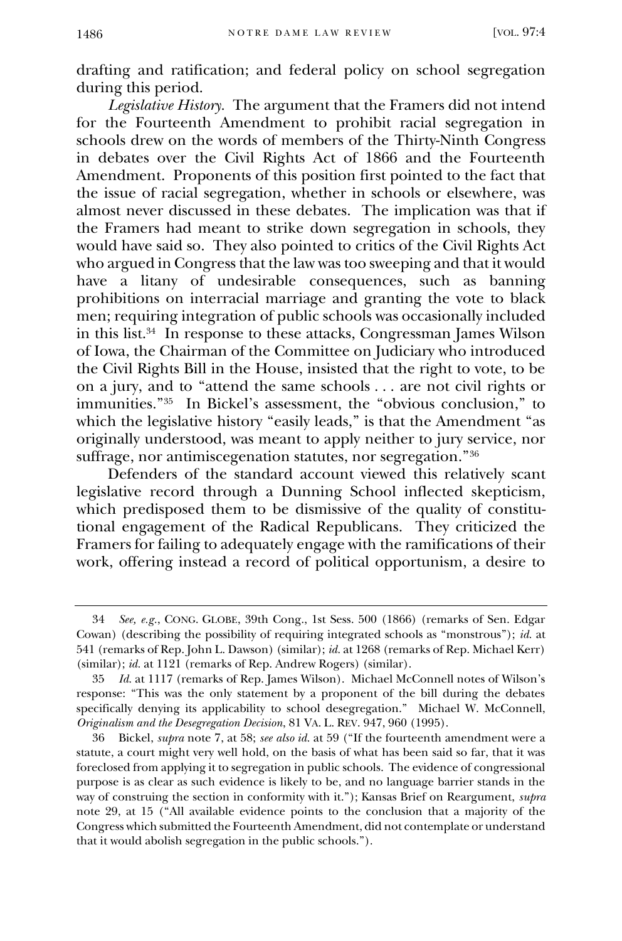drafting and ratification; and federal policy on school segregation during this period.

*Legislative History.* The argument that the Framers did not intend for the Fourteenth Amendment to prohibit racial segregation in schools drew on the words of members of the Thirty-Ninth Congress in debates over the Civil Rights Act of 1866 and the Fourteenth Amendment. Proponents of this position first pointed to the fact that the issue of racial segregation, whether in schools or elsewhere, was almost never discussed in these debates. The implication was that if the Framers had meant to strike down segregation in schools, they would have said so. They also pointed to critics of the Civil Rights Act who argued in Congress that the law was too sweeping and that it would have a litany of undesirable consequences, such as banning prohibitions on interracial marriage and granting the vote to black men; requiring integration of public schools was occasionally included in this list.<sup>34</sup> In response to these attacks, Congressman James Wilson of Iowa, the Chairman of the Committee on Judiciary who introduced the Civil Rights Bill in the House, insisted that the right to vote, to be on a jury, and to "attend the same schools . . . are not civil rights or immunities."<sup>35</sup> In Bickel's assessment, the "obvious conclusion," to which the legislative history "easily leads," is that the Amendment "as originally understood, was meant to apply neither to jury service, nor suffrage, nor antimiscegenation statutes, nor segregation."<sup>36</sup>

Defenders of the standard account viewed this relatively scant legislative record through a Dunning School inflected skepticism, which predisposed them to be dismissive of the quality of constitutional engagement of the Radical Republicans. They criticized the Framers for failing to adequately engage with the ramifications of their work, offering instead a record of political opportunism, a desire to

<sup>34</sup> *See, e.g.*, CONG. GLOBE, 39th Cong., 1st Sess. 500 (1866) (remarks of Sen. Edgar Cowan) (describing the possibility of requiring integrated schools as "monstrous"); *id.* at 541 (remarks of Rep. John L. Dawson) (similar); *id.* at 1268 (remarks of Rep. Michael Kerr) (similar); *id.* at 1121 (remarks of Rep. Andrew Rogers) (similar).

<sup>35</sup> *Id.* at 1117 (remarks of Rep. James Wilson). Michael McConnell notes of Wilson's response: "This was the only statement by a proponent of the bill during the debates specifically denying its applicability to school desegregation." Michael W. McConnell, *Originalism and the Desegregation Decision*, 81 VA. L. REV. 947, 960 (1995).

<sup>36</sup> Bickel, *supra* note 7, at 58; *see also id.* at 59 ("If the fourteenth amendment were a statute, a court might very well hold, on the basis of what has been said so far, that it was foreclosed from applying it to segregation in public schools. The evidence of congressional purpose is as clear as such evidence is likely to be, and no language barrier stands in the way of construing the section in conformity with it."); Kansas Brief on Reargument, *supra*  note 29, at 15 ("All available evidence points to the conclusion that a majority of the Congress which submitted the Fourteenth Amendment, did not contemplate or understand that it would abolish segregation in the public schools.").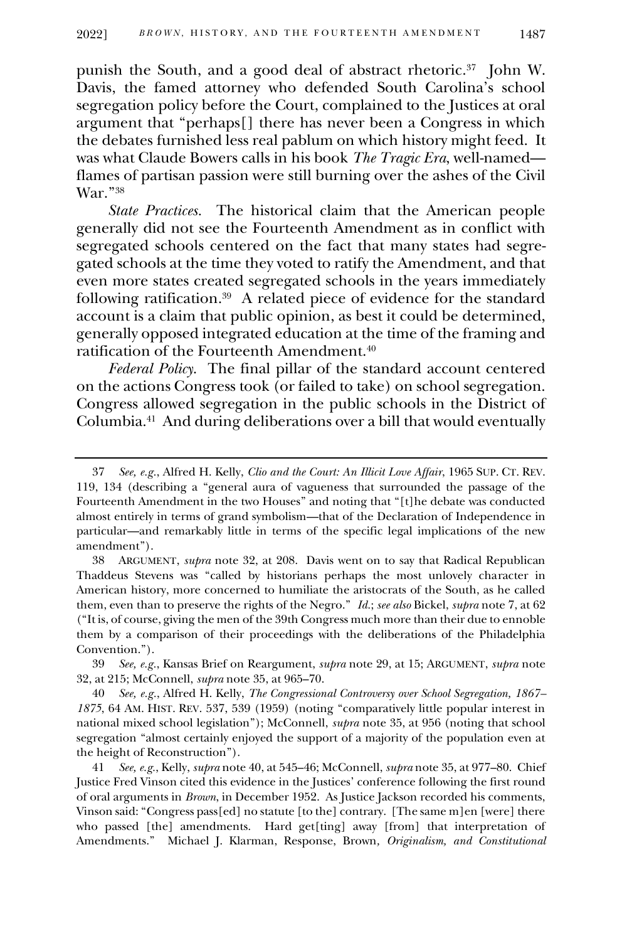punish the South, and a good deal of abstract rhetoric.<sup>37</sup> John W. Davis, the famed attorney who defended South Carolina's school segregation policy before the Court, complained to the Justices at oral argument that "perhaps[] there has never been a Congress in which the debates furnished less real pablum on which history might feed. It was what Claude Bowers calls in his book *The Tragic Era*, well-named flames of partisan passion were still burning over the ashes of the Civil War."<sup>38</sup>

*State Practices.* The historical claim that the American people generally did not see the Fourteenth Amendment as in conflict with segregated schools centered on the fact that many states had segregated schools at the time they voted to ratify the Amendment, and that even more states created segregated schools in the years immediately following ratification.<sup>39</sup> A related piece of evidence for the standard account is a claim that public opinion, as best it could be determined, generally opposed integrated education at the time of the framing and ratification of the Fourteenth Amendment.<sup>40</sup>

*Federal Policy*. The final pillar of the standard account centered on the actions Congress took (or failed to take) on school segregation. Congress allowed segregation in the public schools in the District of Columbia.<sup>41</sup> And during deliberations over a bill that would eventually

39 *See, e.g.*, Kansas Brief on Reargument, *supra* note 29, at 15; ARGUMENT, *supra* note 32, at 215; McConnell, *supra* note 35, at 965–70.

40 *See, e.g.*, Alfred H. Kelly, *The Congressional Controversy over School Segregation, 1867– 1875*, 64 AM. HIST. REV. 537, 539 (1959) (noting "comparatively little popular interest in national mixed school legislation"); McConnell, *supra* note 35, at 956 (noting that school segregation "almost certainly enjoyed the support of a majority of the population even at the height of Reconstruction").

41 *See, e.g.*, Kelly, *supra* note 40, at 545–46; McConnell, *supra* note 35, at 977–80. Chief Justice Fred Vinson cited this evidence in the Justices' conference following the first round of oral arguments in *Brown*, in December 1952. As Justice Jackson recorded his comments, Vinson said: "Congress pass[ed] no statute [to the] contrary. [The same m]en [were] there who passed [the] amendments. Hard get[ting] away [from] that interpretation of Amendments." Michael J. Klarman, Response, Brown*, Originalism, and Constitutional* 

<sup>37</sup> *See, e.g.*, Alfred H. Kelly, *Clio and the Court: An Illicit Love Affair*, 1965 SUP. CT. REV. 119, 134 (describing a "general aura of vagueness that surrounded the passage of the Fourteenth Amendment in the two Houses" and noting that "[t]he debate was conducted almost entirely in terms of grand symbolism—that of the Declaration of Independence in particular—and remarkably little in terms of the specific legal implications of the new amendment").

<sup>38</sup> ARGUMENT, *supra* note 32, at 208. Davis went on to say that Radical Republican Thaddeus Stevens was "called by historians perhaps the most unlovely character in American history, more concerned to humiliate the aristocrats of the South, as he called them, even than to preserve the rights of the Negro." *Id.*; *see also* Bickel, *supra* note 7, at 62 ("It is, of course, giving the men of the 39th Congress much more than their due to ennoble them by a comparison of their proceedings with the deliberations of the Philadelphia Convention.").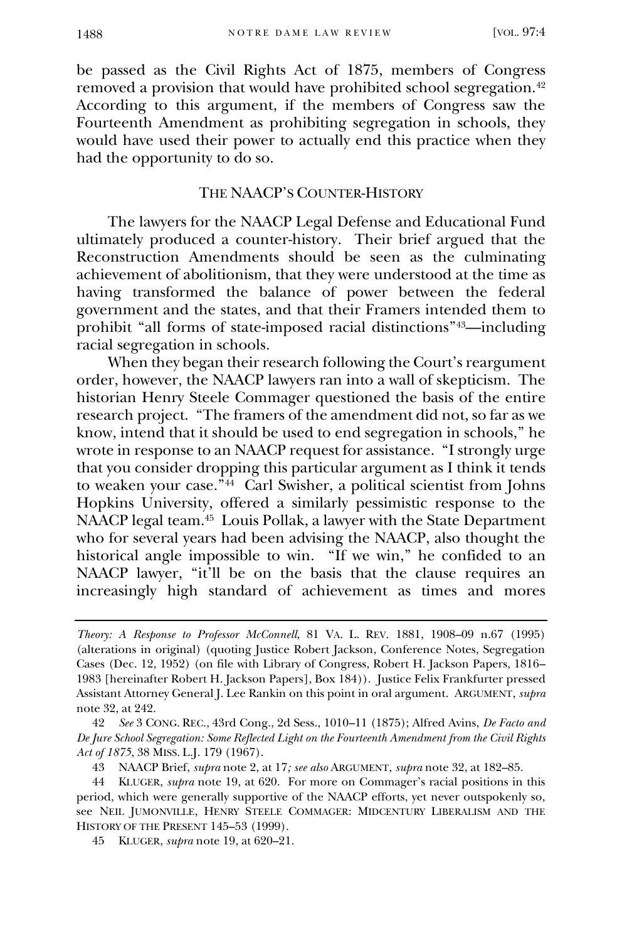be passed as the Civil Rights Act of 1875, members of Congress removed a provision that would have prohibited school segregation.<sup>42</sup> According to this argument, if the members of Congress saw the Fourteenth Amendment as prohibiting segregation in schools, they would have used their power to actually end this practice when they had the opportunity to do so.

## THE NAACP'S COUNTER-HISTORY

The lawyers for the NAACP Legal Defense and Educational Fund ultimately produced a counter-history. Their brief argued that the Reconstruction Amendments should be seen as the culminating achievement of abolitionism, that they were understood at the time as having transformed the balance of power between the federal government and the states, and that their Framers intended them to prohibit "all forms of state-imposed racial distinctions"43—including racial segregation in schools.

When they began their research following the Court's reargument order, however, the NAACP lawyers ran into a wall of skepticism. The historian Henry Steele Commager questioned the basis of the entire research project. "The framers of the amendment did not, so far as we know, intend that it should be used to end segregation in schools," he wrote in response to an NAACP request for assistance. "I strongly urge that you consider dropping this particular argument as I think it tends to weaken your case."<sup>44</sup> Carl Swisher, a political scientist from Johns Hopkins University, offered a similarly pessimistic response to the NAACP legal team.<sup>45</sup> Louis Pollak, a lawyer with the State Department who for several years had been advising the NAACP, also thought the historical angle impossible to win. "If we win," he confided to an NAACP lawyer, "it'll be on the basis that the clause requires an increasingly high standard of achievement as times and mores

42 *See* 3 CONG. REC., 43rd Cong., 2d Sess., 1010–11 (1875); Alfred Avins, *De Facto and De Jure School Segregation: Some Reflected Light on the Fourteenth Amendment from the Civil Rights Act of 1875*, 38 MISS. L.J. 179 (1967).

43 NAACP Brief, *supra* note 2, at 17*; see also* ARGUMENT, *supra* note 32, at 182–85.

45 KLUGER, *supra* note 19, at 620–21.

*Theory: A Response to Professor McConnell*, 81 VA. L. REV. 1881, 1908–09 n.67 (1995) (alterations in original) (quoting Justice Robert Jackson, Conference Notes, Segregation Cases (Dec. 12, 1952) (on file with Library of Congress, Robert H. Jackson Papers, 1816– 1983 [hereinafter Robert H. Jackson Papers], Box 184)). Justice Felix Frankfurter pressed Assistant Attorney General J. Lee Rankin on this point in oral argument. ARGUMENT, *supra*  note 32, at 242.

<sup>44</sup> KLUGER, *supra* note 19, at 620. For more on Commager's racial positions in this period, which were generally supportive of the NAACP efforts, yet never outspokenly so, see NEIL JUMONVILLE, HENRY STEELE COMMAGER: MIDCENTURY LIBERALISM AND THE HISTORY OF THE PRESENT 145-53 (1999).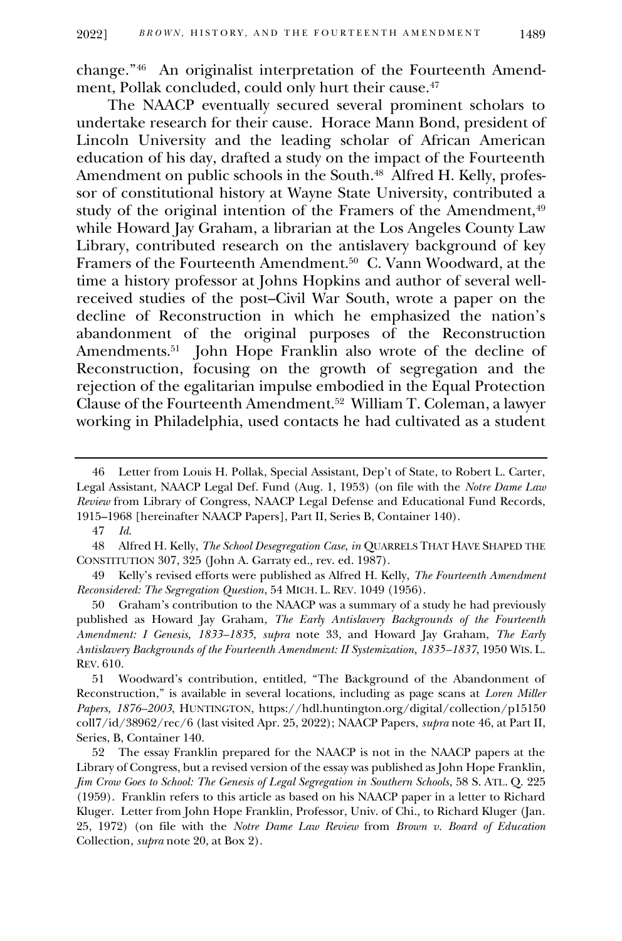change."<sup>46</sup> An originalist interpretation of the Fourteenth Amendment, Pollak concluded, could only hurt their cause.<sup>47</sup>

The NAACP eventually secured several prominent scholars to undertake research for their cause. Horace Mann Bond, president of Lincoln University and the leading scholar of African American education of his day, drafted a study on the impact of the Fourteenth Amendment on public schools in the South.<sup>48</sup> Alfred H. Kelly, professor of constitutional history at Wayne State University, contributed a study of the original intention of the Framers of the Amendment,<sup>49</sup> while Howard Jay Graham, a librarian at the Los Angeles County Law Library, contributed research on the antislavery background of key Framers of the Fourteenth Amendment.<sup>50</sup> C. Vann Woodward, at the time a history professor at Johns Hopkins and author of several wellreceived studies of the post–Civil War South, wrote a paper on the decline of Reconstruction in which he emphasized the nation's abandonment of the original purposes of the Reconstruction Amendments.<sup>51</sup> John Hope Franklin also wrote of the decline of Reconstruction, focusing on the growth of segregation and the rejection of the egalitarian impulse embodied in the Equal Protection Clause of the Fourteenth Amendment.<sup>52</sup> William T. Coleman, a lawyer working in Philadelphia, used contacts he had cultivated as a student

50 Graham's contribution to the NAACP was a summary of a study he had previously published as Howard Jay Graham, *The Early Antislavery Backgrounds of the Fourteenth Amendment: I Genesis, 1833–1835*, *supra* note 33, and Howard Jay Graham, *The Early Antislavery Backgrounds of the Fourteenth Amendment: II Systemization, 1835–1837*, 1950 WIS. L. REV. 610.

<sup>46</sup> Letter from Louis H. Pollak, Special Assistant, Dep't of State, to Robert L. Carter, Legal Assistant, NAACP Legal Def. Fund (Aug. 1, 1953) (on file with the *Notre Dame Law Review* from Library of Congress, NAACP Legal Defense and Educational Fund Records, 1915–1968 [hereinafter NAACP Papers], Part II, Series B, Container 140).

<sup>47</sup> *Id.*

<sup>48</sup> Alfred H. Kelly, *The School Desegregation Case*, *in* QUARRELS THAT HAVE SHAPED THE CONSTITUTION 307, 325 (John A. Garraty ed., rev. ed. 1987).

<sup>49</sup> Kelly's revised efforts were published as Alfred H. Kelly, *The Fourteenth Amendment Reconsidered: The Segregation Question*, 54 MICH. L. REV. 1049 (1956).

<sup>51</sup> Woodward's contribution, entitled, "The Background of the Abandonment of Reconstruction," is available in several locations, including as page scans at *Loren Miller Papers, 1876–2003*, HUNTINGTON, https://hdl.huntington.org/digital/collection/p15150 coll7/id/38962/rec/6 (last visited Apr. 25, 2022); NAACP Papers, *supra* note 46, at Part II, Series, B, Container 140.

<sup>52</sup> The essay Franklin prepared for the NAACP is not in the NAACP papers at the Library of Congress, but a revised version of the essay was published as John Hope Franklin, *Jim Crow Goes to School: The Genesis of Legal Segregation in Southern Schools*, 58 S. ATL. Q. 225 (1959). Franklin refers to this article as based on his NAACP paper in a letter to Richard Kluger. Letter from John Hope Franklin, Professor, Univ. of Chi., to Richard Kluger (Jan. 25, 1972) (on file with the *Notre Dame Law Review* from *Brown v. Board of Education* Collection, *supra* note 20, at Box 2).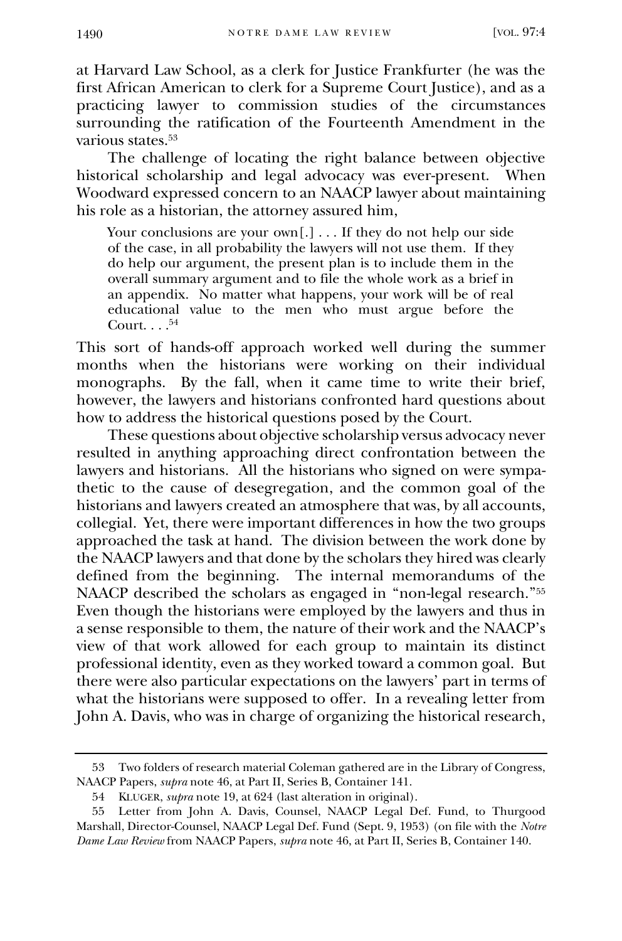at Harvard Law School, as a clerk for Justice Frankfurter (he was the first African American to clerk for a Supreme Court Justice), and as a practicing lawyer to commission studies of the circumstances surrounding the ratification of the Fourteenth Amendment in the various states.<sup>53</sup>

The challenge of locating the right balance between objective historical scholarship and legal advocacy was ever-present. When Woodward expressed concern to an NAACP lawyer about maintaining his role as a historian, the attorney assured him,

Your conclusions are your own[.] . . . If they do not help our side of the case, in all probability the lawyers will not use them. If they do help our argument, the present plan is to include them in the overall summary argument and to file the whole work as a brief in an appendix. No matter what happens, your work will be of real educational value to the men who must argue before the Court.  $\dots$ <sup>54</sup>

This sort of hands-off approach worked well during the summer months when the historians were working on their individual monographs. By the fall, when it came time to write their brief, however, the lawyers and historians confronted hard questions about how to address the historical questions posed by the Court.

These questions about objective scholarship versus advocacy never resulted in anything approaching direct confrontation between the lawyers and historians. All the historians who signed on were sympathetic to the cause of desegregation, and the common goal of the historians and lawyers created an atmosphere that was, by all accounts, collegial. Yet, there were important differences in how the two groups approached the task at hand. The division between the work done by the NAACP lawyers and that done by the scholars they hired was clearly defined from the beginning. The internal memorandums of the NAACP described the scholars as engaged in "non-legal research."<sup>55</sup> Even though the historians were employed by the lawyers and thus in a sense responsible to them, the nature of their work and the NAACP's view of that work allowed for each group to maintain its distinct professional identity, even as they worked toward a common goal. But there were also particular expectations on the lawyers' part in terms of what the historians were supposed to offer. In a revealing letter from John A. Davis, who was in charge of organizing the historical research,

<sup>53</sup> Two folders of research material Coleman gathered are in the Library of Congress, NAACP Papers, *supra* note 46, at Part II, Series B, Container 141.

<sup>54</sup> KLUGER, *supra* note 19, at 624 (last alteration in original).

<sup>55</sup> Letter from John A. Davis, Counsel, NAACP Legal Def. Fund, to Thurgood Marshall, Director-Counsel, NAACP Legal Def. Fund (Sept. 9, 1953) (on file with the *Notre Dame Law Review* from NAACP Papers, *supra* note 46, at Part II, Series B, Container 140.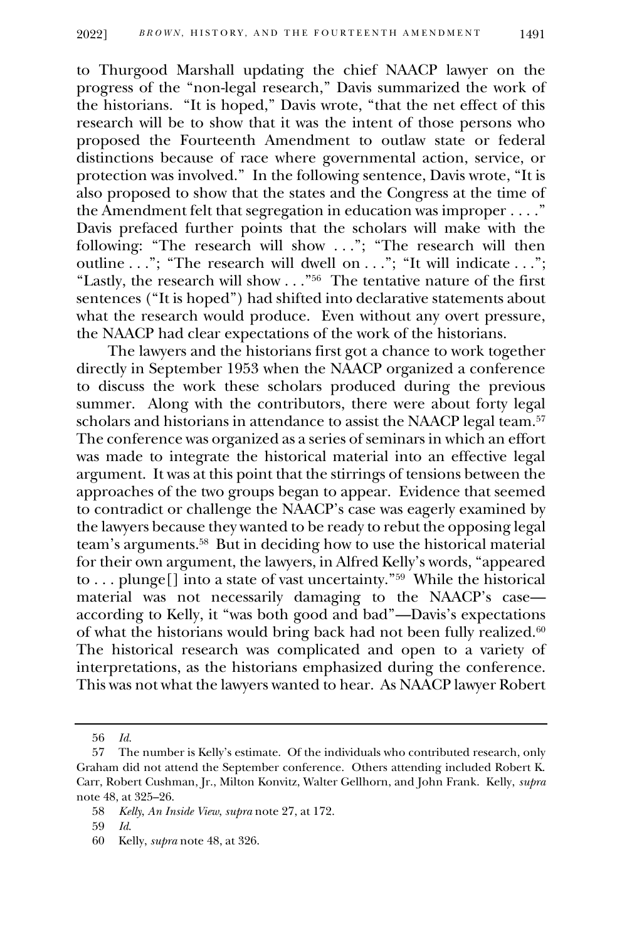to Thurgood Marshall updating the chief NAACP lawyer on the progress of the "non-legal research," Davis summarized the work of the historians. "It is hoped," Davis wrote, "that the net effect of this research will be to show that it was the intent of those persons who proposed the Fourteenth Amendment to outlaw state or federal distinctions because of race where governmental action, service, or protection was involved." In the following sentence, Davis wrote, "It is also proposed to show that the states and the Congress at the time of the Amendment felt that segregation in education was improper . . . ." Davis prefaced further points that the scholars will make with the following: "The research will show ..."; "The research will then outline . . ."; "The research will dwell on . . ."; "It will indicate . . ."; "Lastly, the research will show . . ."<sup>56</sup> The tentative nature of the first sentences ("It is hoped") had shifted into declarative statements about what the research would produce. Even without any overt pressure, the NAACP had clear expectations of the work of the historians.

The lawyers and the historians first got a chance to work together directly in September 1953 when the NAACP organized a conference to discuss the work these scholars produced during the previous summer. Along with the contributors, there were about forty legal scholars and historians in attendance to assist the NAACP legal team.<sup>57</sup> The conference was organized as a series of seminars in which an effort was made to integrate the historical material into an effective legal argument. It was at this point that the stirrings of tensions between the approaches of the two groups began to appear. Evidence that seemed to contradict or challenge the NAACP's case was eagerly examined by the lawyers because they wanted to be ready to rebut the opposing legal team's arguments.<sup>58</sup> But in deciding how to use the historical material for their own argument, the lawyers, in Alfred Kelly's words, "appeared to . . . plunge[] into a state of vast uncertainty."<sup>59</sup> While the historical material was not necessarily damaging to the NAACP's case according to Kelly, it "was both good and bad"—Davis's expectations of what the historians would bring back had not been fully realized. $60$ The historical research was complicated and open to a variety of interpretations, as the historians emphasized during the conference. This was not what the lawyers wanted to hear. As NAACP lawyer Robert

<sup>56</sup> *Id.*

<sup>57</sup> The number is Kelly's estimate. Of the individuals who contributed research, only Graham did not attend the September conference. Others attending included Robert K. Carr, Robert Cushman, Jr., Milton Konvitz, Walter Gellhorn, and John Frank. Kelly, *supra*  note 48, at 325–26.

<sup>58</sup> *Kelly*, *An Inside View*, *supra* note 27, at 172.

<sup>59</sup> *Id*.

<sup>60</sup> Kelly, *supra* note 48, at 326.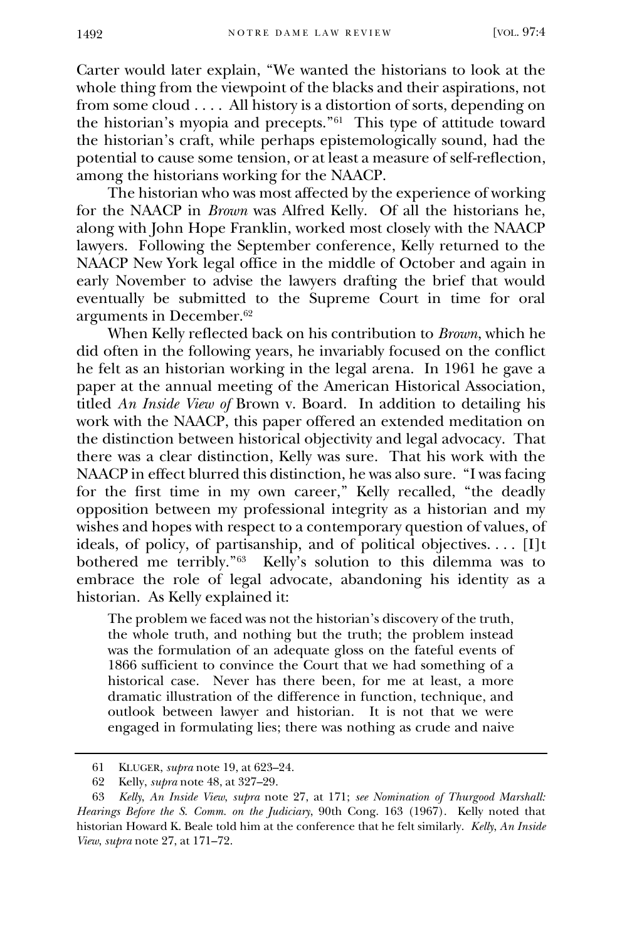Carter would later explain, "We wanted the historians to look at the whole thing from the viewpoint of the blacks and their aspirations, not from some cloud . . . . All history is a distortion of sorts, depending on the historian's myopia and precepts."<sup>61</sup> This type of attitude toward the historian's craft, while perhaps epistemologically sound, had the potential to cause some tension, or at least a measure of self-reflection, among the historians working for the NAACP.

The historian who was most affected by the experience of working for the NAACP in *Brown* was Alfred Kelly. Of all the historians he, along with John Hope Franklin, worked most closely with the NAACP lawyers. Following the September conference, Kelly returned to the NAACP New York legal office in the middle of October and again in early November to advise the lawyers drafting the brief that would eventually be submitted to the Supreme Court in time for oral arguments in December.<sup>62</sup>

When Kelly reflected back on his contribution to *Brown*, which he did often in the following years, he invariably focused on the conflict he felt as an historian working in the legal arena. In 1961 he gave a paper at the annual meeting of the American Historical Association, titled *An Inside View of* Brown v. Board. In addition to detailing his work with the NAACP, this paper offered an extended meditation on the distinction between historical objectivity and legal advocacy. That there was a clear distinction, Kelly was sure. That his work with the NAACP in effect blurred this distinction, he was also sure. "I was facing for the first time in my own career," Kelly recalled, "the deadly opposition between my professional integrity as a historian and my wishes and hopes with respect to a contemporary question of values, of ideals, of policy, of partisanship, and of political objectives. . . . [I]t bothered me terribly."<sup>63</sup> Kelly's solution to this dilemma was to embrace the role of legal advocate, abandoning his identity as a historian. As Kelly explained it:

The problem we faced was not the historian's discovery of the truth, the whole truth, and nothing but the truth; the problem instead was the formulation of an adequate gloss on the fateful events of 1866 sufficient to convince the Court that we had something of a historical case. Never has there been, for me at least, a more dramatic illustration of the difference in function, technique, and outlook between lawyer and historian. It is not that we were engaged in formulating lies; there was nothing as crude and naive

<sup>61</sup> KLUGER, *supra* note 19, at 623–24.

<sup>62</sup> Kelly, *supra* note 48, at 327–29.

<sup>63</sup> *Kelly*, *An Inside View*, *supra* note 27, at 171; *see Nomination of Thurgood Marshall: Hearings Before the S. Comm. on the Judiciary*, 90th Cong. 163 (1967). Kelly noted that historian Howard K. Beale told him at the conference that he felt similarly. *Kelly*, *An Inside View*, *supra* note 27, at 171–72.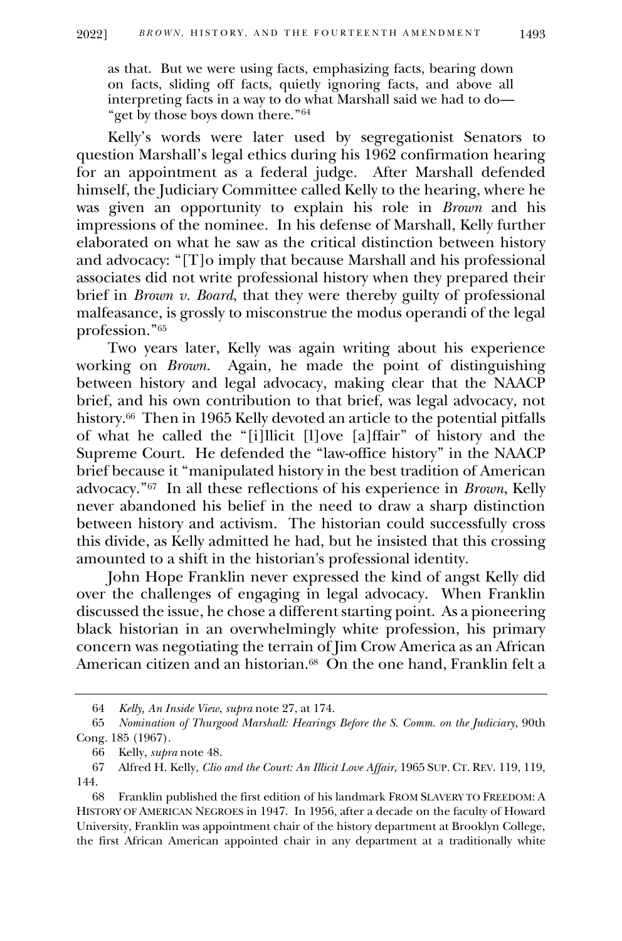as that. But we were using facts, emphasizing facts, bearing down on facts, sliding off facts, quietly ignoring facts, and above all interpreting facts in a way to do what Marshall said we had to do— "get by those boys down there." 64

Kelly's words were later used by segregationist Senators to question Marshall's legal ethics during his 1962 confirmation hearing for an appointment as a federal judge. After Marshall defended himself, the Judiciary Committee called Kelly to the hearing, where he was given an opportunity to explain his role in *Brown* and his impressions of the nominee. In his defense of Marshall, Kelly further elaborated on what he saw as the critical distinction between history and advocacy: "[T]o imply that because Marshall and his professional associates did not write professional history when they prepared their brief in *Brown v. Board*, that they were thereby guilty of professional malfeasance, is grossly to misconstrue the modus operandi of the legal profession."<sup>65</sup>

Two years later, Kelly was again writing about his experience working on *Brown*. Again, he made the point of distinguishing between history and legal advocacy, making clear that the NAACP brief, and his own contribution to that brief, was legal advocacy, not history.<sup>66</sup> Then in 1965 Kelly devoted an article to the potential pitfalls of what he called the "[i]llicit [l]ove [a]ffair" of history and the Supreme Court. He defended the "law-office history" in the NAACP brief because it "manipulated history in the best tradition of American advocacy."<sup>67</sup> In all these reflections of his experience in *Brown*, Kelly never abandoned his belief in the need to draw a sharp distinction between history and activism. The historian could successfully cross this divide, as Kelly admitted he had, but he insisted that this crossing amounted to a shift in the historian's professional identity.

John Hope Franklin never expressed the kind of angst Kelly did over the challenges of engaging in legal advocacy. When Franklin discussed the issue, he chose a different starting point. As a pioneering black historian in an overwhelmingly white profession, his primary concern was negotiating the terrain of Jim Crow America as an African American citizen and an historian. $^{68}$  On the one hand, Franklin felt a

<sup>64</sup> *Kelly, An Inside View*, *supra* note 27, at 174.

<sup>65</sup> *Nomination of Thurgood Marshall: Hearings Before the S. Comm. on the Judiciary*, 90th Cong. 185 (1967).

<sup>66</sup> Kelly, *supra* note 48.

<sup>67</sup> Alfred H. Kelly, *Clio and the Court: An Illicit Love Affair*, 1965 SUP. CT. REV. 119, 119, 144.

<sup>68</sup> Franklin published the first edition of his landmark FROM SLAVERY TO FREEDOM: A HISTORY OF AMERICAN NEGROES in 1947. In 1956, after a decade on the faculty of Howard University, Franklin was appointment chair of the history department at Brooklyn College, the first African American appointed chair in any department at a traditionally white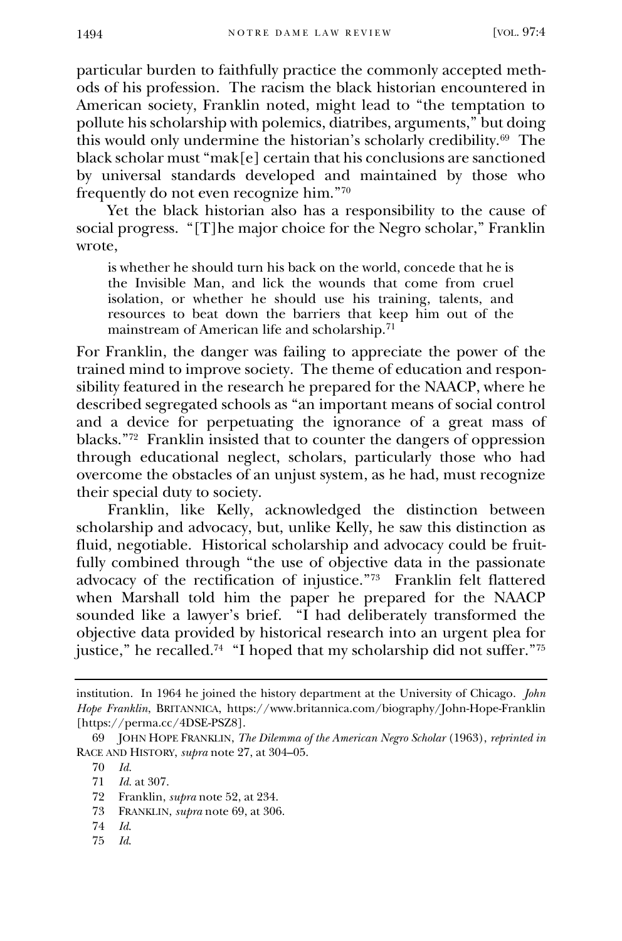particular burden to faithfully practice the commonly accepted methods of his profession. The racism the black historian encountered in American society, Franklin noted, might lead to "the temptation to pollute his scholarship with polemics, diatribes, arguments," but doing this would only undermine the historian's scholarly credibility.<sup>69</sup> The black scholar must "mak[e] certain that his conclusions are sanctioned by universal standards developed and maintained by those who frequently do not even recognize him."<sup>70</sup>

Yet the black historian also has a responsibility to the cause of social progress. "[T]he major choice for the Negro scholar," Franklin wrote,

is whether he should turn his back on the world, concede that he is the Invisible Man, and lick the wounds that come from cruel isolation, or whether he should use his training, talents, and resources to beat down the barriers that keep him out of the mainstream of American life and scholarship.<sup>71</sup>

For Franklin, the danger was failing to appreciate the power of the trained mind to improve society. The theme of education and responsibility featured in the research he prepared for the NAACP, where he described segregated schools as "an important means of social control and a device for perpetuating the ignorance of a great mass of blacks."<sup>72</sup> Franklin insisted that to counter the dangers of oppression through educational neglect, scholars, particularly those who had overcome the obstacles of an unjust system, as he had, must recognize their special duty to society.

Franklin, like Kelly, acknowledged the distinction between scholarship and advocacy, but, unlike Kelly, he saw this distinction as fluid, negotiable. Historical scholarship and advocacy could be fruitfully combined through "the use of objective data in the passionate advocacy of the rectification of injustice."<sup>73</sup> Franklin felt flattered when Marshall told him the paper he prepared for the NAACP sounded like a lawyer's brief. <sup>""I</sup> had deliberately transformed the objective data provided by historical research into an urgent plea for justice," he recalled.<sup>74</sup> "I hoped that my scholarship did not suffer."<sup>75</sup>

71 *Id.* at 307.

- 73 FRANKLIN, *supra* note 69, at 306.
- 74 *Id*.
- 75 *Id*.

institution. In 1964 he joined the history department at the University of Chicago. *John Hope Franklin*, BRITANNICA, https://www.britannica.com/biography/John-Hope-Franklin [https://perma.cc/4DSE-PSZ8].

<sup>69</sup> JOHN HOPE FRANKLIN, *The Dilemma of the American Negro Scholar* (1963), *reprinted in* RACE AND HISTORY, *supra* note 27, at 304–05.

<sup>70</sup> *Id.*

<sup>72</sup> Franklin, *supra* note 52, at 234.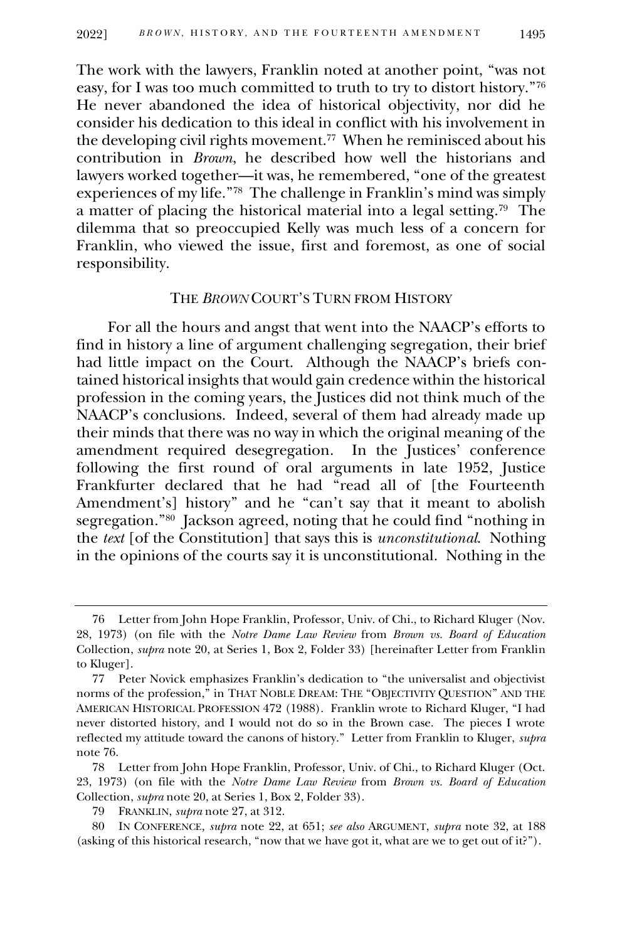The work with the lawyers, Franklin noted at another point, "was not easy, for I was too much committed to truth to try to distort history."<sup>76</sup> He never abandoned the idea of historical objectivity, nor did he consider his dedication to this ideal in conflict with his involvement in the developing civil rights movement.<sup>77</sup> When he reminisced about his contribution in *Brown*, he described how well the historians and lawyers worked together—it was, he remembered, "one of the greatest experiences of my life."<sup>78</sup> The challenge in Franklin's mind was simply a matter of placing the historical material into a legal setting.<sup>79</sup> The dilemma that so preoccupied Kelly was much less of a concern for Franklin, who viewed the issue, first and foremost, as one of social responsibility.

#### THE *BROWN* COURT'S TURN FROM HISTORY

For all the hours and angst that went into the NAACP's efforts to find in history a line of argument challenging segregation, their brief had little impact on the Court. Although the NAACP's briefs contained historical insights that would gain credence within the historical profession in the coming years, the Justices did not think much of the NAACP's conclusions. Indeed, several of them had already made up their minds that there was no way in which the original meaning of the amendment required desegregation. In the Justices' conference following the first round of oral arguments in late 1952, Justice Frankfurter declared that he had "read all of [the Fourteenth Amendment's] history" and he "can't say that it meant to abolish segregation."<sup>80</sup> Jackson agreed, noting that he could find "nothing in the *text* [of the Constitution] that says this is *unconstitutional*. Nothing in the opinions of the courts say it is unconstitutional. Nothing in the

<sup>76</sup> Letter from John Hope Franklin, Professor, Univ. of Chi., to Richard Kluger (Nov. 28, 1973) (on file with the *Notre Dame Law Review* from *Brown vs. Board of Education* Collection, *supra* note 20, at Series 1, Box 2, Folder 33) [hereinafter Letter from Franklin to Kluger].

<sup>77</sup> Peter Novick emphasizes Franklin's dedication to "the universalist and objectivist norms of the profession," in THAT NOBLE DREAM: THE "OBJECTIVITY QUESTION" AND THE AMERICAN HISTORICAL PROFESSION 472 (1988). Franklin wrote to Richard Kluger, "I had never distorted history, and I would not do so in the Brown case. The pieces I wrote reflected my attitude toward the canons of history." Letter from Franklin to Kluger, *supra*  note 76.

<sup>78</sup> Letter from John Hope Franklin, Professor, Univ. of Chi., to Richard Kluger (Oct. 23, 1973) (on file with the *Notre Dame Law Review* from *Brown vs. Board of Education* Collection, *supra* note 20, at Series 1, Box 2, Folder 33).

<sup>79</sup> FRANKLIN, *supra* note 27, at 312.

<sup>80</sup> IN CONFERENCE*, supra* note 22, at 651; *see also* ARGUMENT, *supra* note 32, at 188 (asking of this historical research, "now that we have got it, what are we to get out of it?").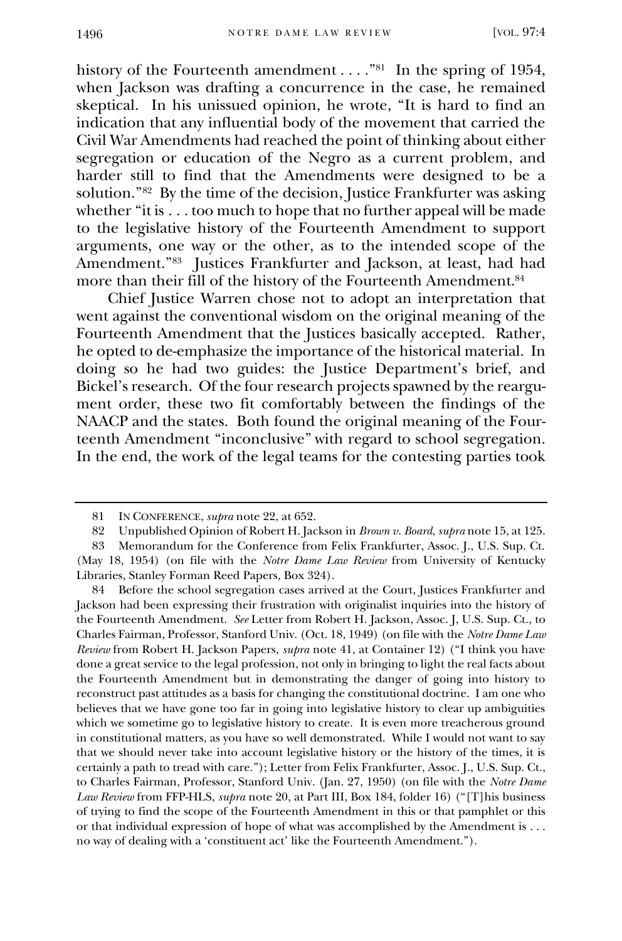history of the Fourteenth amendment . . . . "<sup>81</sup> In the spring of 1954, when Jackson was drafting a concurrence in the case, he remained skeptical. In his unissued opinion, he wrote, "It is hard to find an indication that any influential body of the movement that carried the Civil War Amendments had reached the point of thinking about either segregation or education of the Negro as a current problem, and harder still to find that the Amendments were designed to be a solution."<sup>82</sup> By the time of the decision, Justice Frankfurter was asking whether "it is . . . too much to hope that no further appeal will be made to the legislative history of the Fourteenth Amendment to support arguments, one way or the other, as to the intended scope of the Amendment."<sup>83</sup> Justices Frankfurter and Jackson, at least, had had more than their fill of the history of the Fourteenth Amendment.<sup>84</sup>

Chief Justice Warren chose not to adopt an interpretation that went against the conventional wisdom on the original meaning of the Fourteenth Amendment that the Justices basically accepted. Rather, he opted to de-emphasize the importance of the historical material. In doing so he had two guides: the Justice Department's brief, and Bickel's research. Of the four research projects spawned by the reargument order, these two fit comfortably between the findings of the NAACP and the states. Both found the original meaning of the Fourteenth Amendment "inconclusive" with regard to school segregation. In the end, the work of the legal teams for the contesting parties took

84 Before the school segregation cases arrived at the Court, Justices Frankfurter and Jackson had been expressing their frustration with originalist inquiries into the history of the Fourteenth Amendment. *See* Letter from Robert H. Jackson, Assoc. J, U.S. Sup. Ct., to Charles Fairman, Professor, Stanford Univ. (Oct. 18, 1949) (on file with the *Notre Dame Law Review* from Robert H. Jackson Papers, *supra* note 41, at Container 12) ("I think you have done a great service to the legal profession, not only in bringing to light the real facts about the Fourteenth Amendment but in demonstrating the danger of going into history to reconstruct past attitudes as a basis for changing the constitutional doctrine. I am one who believes that we have gone too far in going into legislative history to clear up ambiguities which we sometime go to legislative history to create. It is even more treacherous ground in constitutional matters, as you have so well demonstrated. While I would not want to say that we should never take into account legislative history or the history of the times, it is certainly a path to tread with care."); Letter from Felix Frankfurter, Assoc. J., U.S. Sup. Ct., to Charles Fairman, Professor, Stanford Univ. (Jan. 27, 1950) (on file with the *Notre Dame Law Review* from FFP-HLS, *supra* note 20, at Part III, Box 184, folder 16) ("[T]his business of trying to find the scope of the Fourteenth Amendment in this or that pamphlet or this or that individual expression of hope of what was accomplished by the Amendment is . . . no way of dealing with a 'constituent act' like the Fourteenth Amendment.").

<sup>81</sup> IN CONFERENCE, *supra* note 22, at 652.

<sup>82</sup> Unpublished Opinion of Robert H. Jackson in *Brown v. Board*, *supra* note 15, at 125.

<sup>83</sup> Memorandum for the Conference from Felix Frankfurter, Assoc. J., U.S. Sup. Ct. (May 18, 1954) (on file with the *Notre Dame Law Review* from University of Kentucky Libraries, Stanley Forman Reed Papers, Box 324).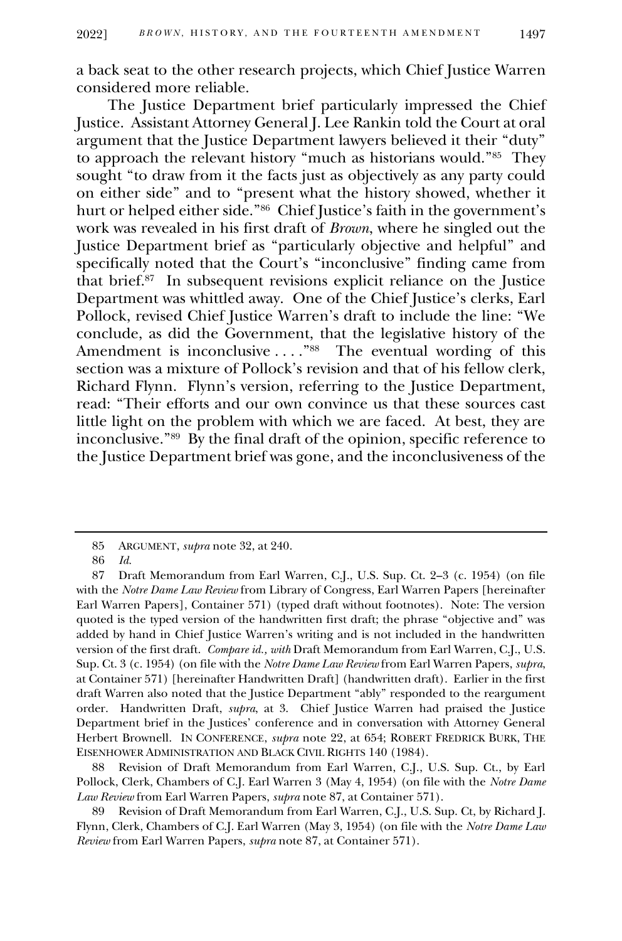a back seat to the other research projects, which Chief Justice Warren considered more reliable.

The Justice Department brief particularly impressed the Chief Justice. Assistant Attorney General J. Lee Rankin told the Court at oral argument that the Justice Department lawyers believed it their "duty" to approach the relevant history "much as historians would."<sup>85</sup> They sought "to draw from it the facts just as objectively as any party could on either side" and to "present what the history showed, whether it hurt or helped either side."<sup>86</sup> Chief Justice's faith in the government's work was revealed in his first draft of *Brown*, where he singled out the Justice Department brief as "particularly objective and helpful" and specifically noted that the Court's "inconclusive" finding came from that brief.<sup>87</sup> In subsequent revisions explicit reliance on the Justice Department was whittled away. One of the Chief Justice's clerks, Earl Pollock, revised Chief Justice Warren's draft to include the line: "We conclude, as did the Government, that the legislative history of the Amendment is inconclusive . . . . "<sup>88</sup> The eventual wording of this section was a mixture of Pollock's revision and that of his fellow clerk, Richard Flynn. Flynn's version, referring to the Justice Department, read: "Their efforts and our own convince us that these sources cast little light on the problem with which we are faced. At best, they are inconclusive."<sup>89</sup> By the final draft of the opinion, specific reference to the Justice Department brief was gone, and the inconclusiveness of the

88 Revision of Draft Memorandum from Earl Warren, C.J., U.S. Sup. Ct., by Earl Pollock, Clerk, Chambers of C.J. Earl Warren 3 (May 4, 1954) (on file with the *Notre Dame Law Review* from Earl Warren Papers, *supra* note 87, at Container 571).

89 Revision of Draft Memorandum from Earl Warren, C.J., U.S. Sup. Ct, by Richard J. Flynn, Clerk, Chambers of C.J. Earl Warren (May 3, 1954) (on file with the *Notre Dame Law Review* from Earl Warren Papers, *supra* note 87, at Container 571).

<sup>85</sup> ARGUMENT, *supra* note 32, at 240.

<sup>86</sup> *Id.*

<sup>87</sup> Draft Memorandum from Earl Warren, C.J., U.S. Sup. Ct. 2–3 (c. 1954) (on file with the *Notre Dame Law Review* from Library of Congress, Earl Warren Papers [hereinafter Earl Warren Papers], Container 571) (typed draft without footnotes). Note: The version quoted is the typed version of the handwritten first draft; the phrase "objective and" was added by hand in Chief Justice Warren's writing and is not included in the handwritten version of the first draft. *Compare id., with* Draft Memorandum from Earl Warren, C.J., U.S. Sup. Ct. 3 (c. 1954) (on file with the *Notre Dame Law Review* from Earl Warren Papers, *supra*, at Container 571) [hereinafter Handwritten Draft] (handwritten draft). Earlier in the first draft Warren also noted that the Justice Department "ably" responded to the reargument order. Handwritten Draft, *supra*, at 3. Chief Justice Warren had praised the Justice Department brief in the Justices' conference and in conversation with Attorney General Herbert Brownell. IN CONFERENCE, *supra* note 22, at 654; ROBERT FREDRICK BURK, THE EISENHOWER ADMINISTRATION AND BLACK CIVIL RIGHTS 140 (1984).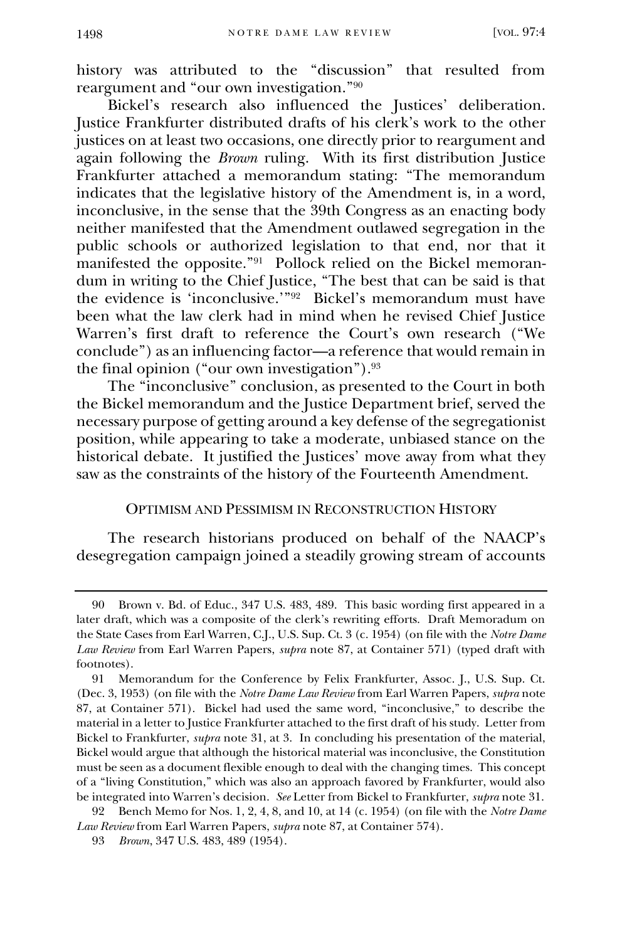history was attributed to the "discussion" that resulted from reargument and "our own investigation."<sup>90</sup>

Bickel's research also influenced the Justices' deliberation. Justice Frankfurter distributed drafts of his clerk's work to the other justices on at least two occasions, one directly prior to reargument and again following the *Brown* ruling. With its first distribution Justice Frankfurter attached a memorandum stating: "The memorandum indicates that the legislative history of the Amendment is, in a word, inconclusive, in the sense that the 39th Congress as an enacting body neither manifested that the Amendment outlawed segregation in the public schools or authorized legislation to that end, nor that it manifested the opposite."<sup>91</sup> Pollock relied on the Bickel memorandum in writing to the Chief Justice, "The best that can be said is that the evidence is 'inconclusive.'"<sup>92</sup> Bickel's memorandum must have been what the law clerk had in mind when he revised Chief Justice Warren's first draft to reference the Court's own research ("We conclude") as an influencing factor—a reference that would remain in the final opinion ("our own investigation").<sup>93</sup>

The "inconclusive" conclusion, as presented to the Court in both the Bickel memorandum and the Justice Department brief, served the necessary purpose of getting around a key defense of the segregationist position, while appearing to take a moderate, unbiased stance on the historical debate. It justified the Justices' move away from what they saw as the constraints of the history of the Fourteenth Amendment.

#### OPTIMISM AND PESSIMISM IN RECONSTRUCTION HISTORY

The research historians produced on behalf of the NAACP's desegregation campaign joined a steadily growing stream of accounts

<sup>90</sup> Brown v. Bd. of Educ., 347 U.S. 483, 489. This basic wording first appeared in a later draft, which was a composite of the clerk's rewriting efforts. Draft Memoradum on the State Cases from Earl Warren, C.J., U.S. Sup. Ct. 3 (c. 1954) (on file with the *Notre Dame Law Review* from Earl Warren Papers, *supra* note 87, at Container 571) (typed draft with footnotes).

<sup>91</sup> Memorandum for the Conference by Felix Frankfurter, Assoc. J., U.S. Sup. Ct. (Dec. 3, 1953) (on file with the *Notre Dame Law Review* from Earl Warren Papers, *supra* note 87, at Container 571). Bickel had used the same word, "inconclusive," to describe the material in a letter to Justice Frankfurter attached to the first draft of his study. Letter from Bickel to Frankfurter, *supra* note 31, at 3. In concluding his presentation of the material, Bickel would argue that although the historical material was inconclusive, the Constitution must be seen as a document flexible enough to deal with the changing times. This concept of a "living Constitution," which was also an approach favored by Frankfurter, would also be integrated into Warren's decision. *See* Letter from Bickel to Frankfurter, *supra* note 31.

<sup>92</sup> Bench Memo for Nos. 1, 2, 4, 8, and 10, at 14 (c. 1954) (on file with the *Notre Dame Law Review* from Earl Warren Papers, *supra* note 87, at Container 574).

<sup>93</sup> *Brown*, 347 U.S. 483, 489 (1954).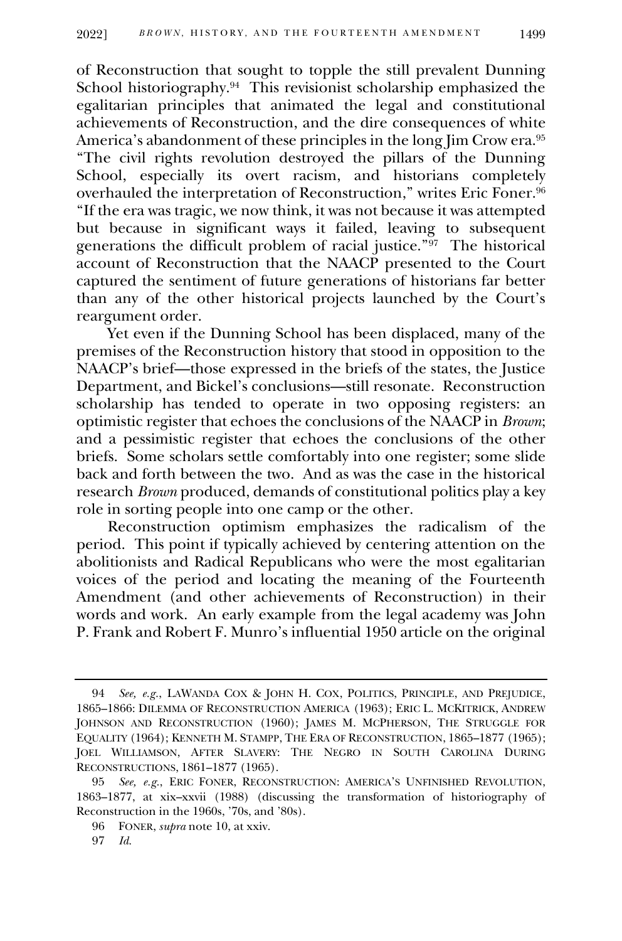of Reconstruction that sought to topple the still prevalent Dunning School historiography.<sup>94</sup> This revisionist scholarship emphasized the egalitarian principles that animated the legal and constitutional achievements of Reconstruction, and the dire consequences of white America's abandonment of these principles in the long Jim Crow era.<sup>95</sup> "The civil rights revolution destroyed the pillars of the Dunning School, especially its overt racism, and historians completely overhauled the interpretation of Reconstruction," writes Eric Foner.<sup>96</sup> "If the era was tragic, we now think, it was not because it was attempted but because in significant ways it failed, leaving to subsequent generations the difficult problem of racial justice."<sup>97</sup> The historical account of Reconstruction that the NAACP presented to the Court captured the sentiment of future generations of historians far better than any of the other historical projects launched by the Court's reargument order.

Yet even if the Dunning School has been displaced, many of the premises of the Reconstruction history that stood in opposition to the NAACP's brief—those expressed in the briefs of the states, the Justice Department, and Bickel's conclusions—still resonate. Reconstruction scholarship has tended to operate in two opposing registers: an optimistic register that echoes the conclusions of the NAACP in *Brown*; and a pessimistic register that echoes the conclusions of the other briefs. Some scholars settle comfortably into one register; some slide back and forth between the two. And as was the case in the historical research *Brown* produced, demands of constitutional politics play a key role in sorting people into one camp or the other.

Reconstruction optimism emphasizes the radicalism of the period. This point if typically achieved by centering attention on the abolitionists and Radical Republicans who were the most egalitarian voices of the period and locating the meaning of the Fourteenth Amendment (and other achievements of Reconstruction) in their words and work. An early example from the legal academy was John P. Frank and Robert F. Munro's influential 1950 article on the original

<sup>94</sup> *See, e.g.*, LAWANDA COX & JOHN H. COX, POLITICS, PRINCIPLE, AND PREJUDICE, 1865–1866: DILEMMA OF RECONSTRUCTION AMERICA (1963); ERIC L. MCKITRICK, ANDREW JOHNSON AND RECONSTRUCTION (1960); JAMES M. MCPHERSON, THE STRUGGLE FOR EQUALITY (1964); KENNETH M. STAMPP, THE ERA OF RECONSTRUCTION, 1865–1877 (1965); JOEL WILLIAMSON, AFTER SLAVERY: THE NEGRO IN SOUTH CAROLINA DURING RECONSTRUCTIONS, 1861–1877 (1965).

<sup>95</sup> *See, e.g.*, ERIC FONER, RECONSTRUCTION: AMERICA'S UNFINISHED REVOLUTION, 1863–1877, at xix–xxvii (1988) (discussing the transformation of historiography of Reconstruction in the 1960s, '70s, and '80s).

<sup>96</sup> FONER, *supra* note 10, at xxiv.

<sup>97</sup> *Id.*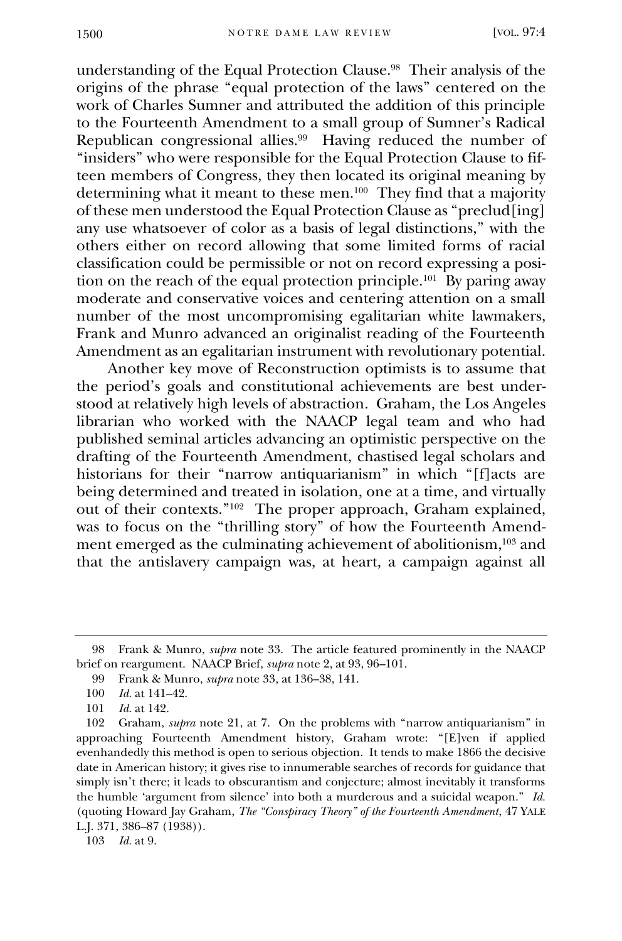understanding of the Equal Protection Clause.<sup>98</sup> Their analysis of the origins of the phrase "equal protection of the laws" centered on the work of Charles Sumner and attributed the addition of this principle to the Fourteenth Amendment to a small group of Sumner's Radical Republican congressional allies.<sup>99</sup> Having reduced the number of "insiders" who were responsible for the Equal Protection Clause to fifteen members of Congress, they then located its original meaning by determining what it meant to these men.<sup>100</sup> They find that a majority of these men understood the Equal Protection Clause as "preclud[ing] any use whatsoever of color as a basis of legal distinctions," with the others either on record allowing that some limited forms of racial classification could be permissible or not on record expressing a position on the reach of the equal protection principle.<sup>101</sup> By paring away moderate and conservative voices and centering attention on a small number of the most uncompromising egalitarian white lawmakers, Frank and Munro advanced an originalist reading of the Fourteenth Amendment as an egalitarian instrument with revolutionary potential.

Another key move of Reconstruction optimists is to assume that the period's goals and constitutional achievements are best understood at relatively high levels of abstraction. Graham, the Los Angeles librarian who worked with the NAACP legal team and who had published seminal articles advancing an optimistic perspective on the drafting of the Fourteenth Amendment, chastised legal scholars and historians for their "narrow antiquarianism" in which "[f]acts are being determined and treated in isolation, one at a time, and virtually out of their contexts."<sup>102</sup> The proper approach, Graham explained, was to focus on the "thrilling story" of how the Fourteenth Amendment emerged as the culminating achievement of abolitionism,<sup>103</sup> and that the antislavery campaign was, at heart, a campaign against all

103 *Id.* at 9.

<sup>98</sup> Frank & Munro, *supra* note 33. The article featured prominently in the NAACP brief on reargument. NAACP Brief, *supra* note 2, at 93, 96–101.

<sup>99</sup> Frank & Munro, *supra* note 33*,* at 136–38, 141.

<sup>100</sup> *Id.* at 141–42.

<sup>101</sup> *Id.* at 142.

<sup>102</sup> Graham, *supra* note 21, at 7. On the problems with "narrow antiquarianism" in approaching Fourteenth Amendment history, Graham wrote: "[E]ven if applied evenhandedly this method is open to serious objection. It tends to make 1866 the decisive date in American history; it gives rise to innumerable searches of records for guidance that simply isn't there; it leads to obscurantism and conjecture; almost inevitably it transforms the humble 'argument from silence' into both a murderous and a suicidal weapon." *Id.* (quoting Howard Jay Graham, *The "Conspiracy Theory" of the Fourteenth Amendment*, 47 YALE L.J. 371, 386–87 (1938)).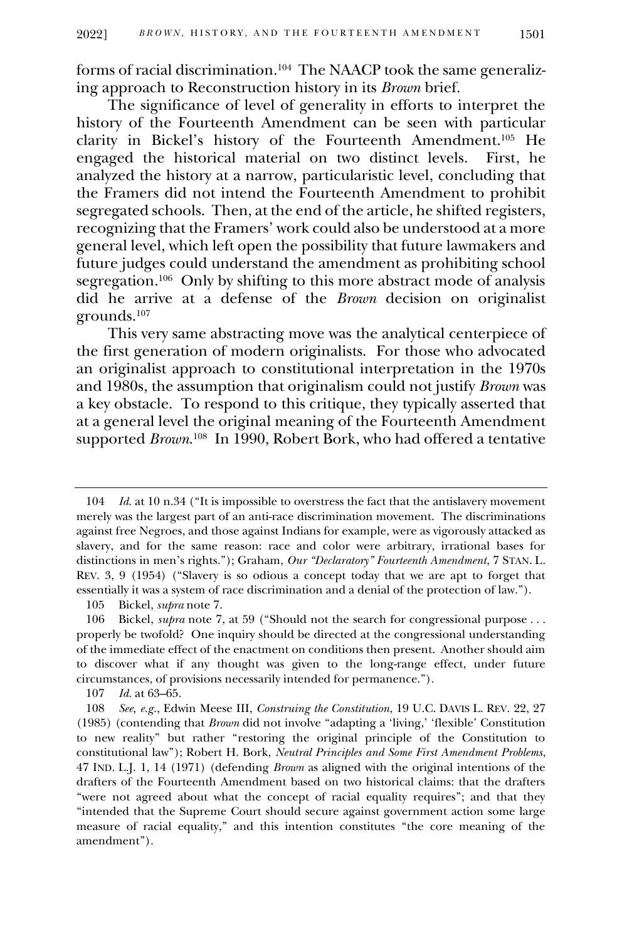forms of racial discrimination.<sup>104</sup> The NAACP took the same generalizing approach to Reconstruction history in its *Brown* brief.

The significance of level of generality in efforts to interpret the history of the Fourteenth Amendment can be seen with particular clarity in Bickel's history of the Fourteenth Amendment. <sup>105</sup> He engaged the historical material on two distinct levels. First, he analyzed the history at a narrow, particularistic level, concluding that the Framers did not intend the Fourteenth Amendment to prohibit segregated schools. Then, at the end of the article, he shifted registers, recognizing that the Framers' work could also be understood at a more general level, which left open the possibility that future lawmakers and future judges could understand the amendment as prohibiting school segregation.<sup>106</sup> Only by shifting to this more abstract mode of analysis did he arrive at a defense of the *Brown* decision on originalist grounds.<sup>107</sup>

This very same abstracting move was the analytical centerpiece of the first generation of modern originalists. For those who advocated an originalist approach to constitutional interpretation in the 1970s and 1980s, the assumption that originalism could not justify *Brown* was a key obstacle. To respond to this critique, they typically asserted that at a general level the original meaning of the Fourteenth Amendment supported *Brown*. 108 In 1990, Robert Bork, who had offered a tentative

<sup>104</sup> *Id.* at 10 n.34 ("It is impossible to overstress the fact that the antislavery movement merely was the largest part of an anti-race discrimination movement. The discriminations against free Negroes, and those against Indians for example, were as vigorously attacked as slavery, and for the same reason: race and color were arbitrary, irrational bases for distinctions in men's rights."); Graham, *Our "Declaratory" Fourteenth Amendment*, 7 STAN. L. REV. 3, 9 (1954) ("Slavery is so odious a concept today that we are apt to forget that essentially it was a system of race discrimination and a denial of the protection of law.").

<sup>105</sup> Bickel, *supra* note 7.

<sup>106</sup> Bickel, *supra* note 7, at 59 ("Should not the search for congressional purpose . . . properly be twofold? One inquiry should be directed at the congressional understanding of the immediate effect of the enactment on conditions then present. Another should aim to discover what if any thought was given to the long-range effect, under future circumstances, of provisions necessarily intended for permanence.").

<sup>107</sup> *Id.* at 63–65.

<sup>108</sup> *See, e.g.*, Edwin Meese III, *Construing the Constitution*, 19 U.C. DAVIS L. REV. 22, 27 (1985) (contending that *Brown* did not involve "adapting a 'living,' 'flexible' Constitution to new reality" but rather "restoring the original principle of the Constitution to constitutional law"); Robert H. Bork, *Neutral Principles and Some First Amendment Problems*, 47 IND. L.J. 1, 14 (1971) (defending *Brown* as aligned with the original intentions of the drafters of the Fourteenth Amendment based on two historical claims: that the drafters "were not agreed about what the concept of racial equality requires"; and that they "intended that the Supreme Court should secure against government action some large measure of racial equality," and this intention constitutes "the core meaning of the amendment").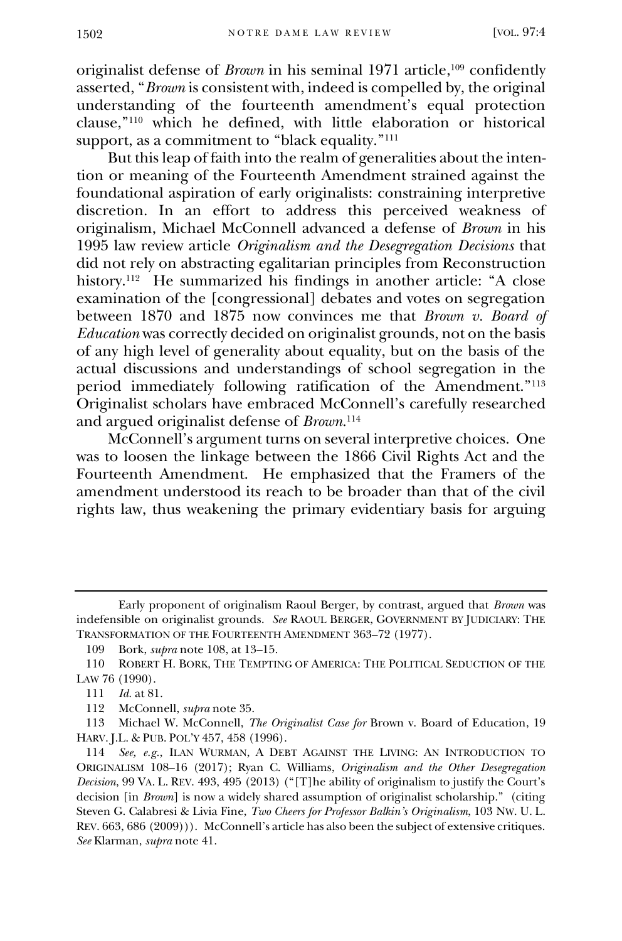originalist defense of *Brown* in his seminal 1971 article,<sup>109</sup> confidently asserted, "*Brown* is consistent with, indeed is compelled by, the original understanding of the fourteenth amendment's equal protection clause," <sup>110</sup> which he defined, with little elaboration or historical support, as a commitment to "black equality."<sup>111</sup>

But this leap of faith into the realm of generalities about the intention or meaning of the Fourteenth Amendment strained against the foundational aspiration of early originalists: constraining interpretive discretion. In an effort to address this perceived weakness of originalism, Michael McConnell advanced a defense of *Brown* in his 1995 law review article *Originalism and the Desegregation Decisions* that did not rely on abstracting egalitarian principles from Reconstruction history.<sup>112</sup> He summarized his findings in another article: "A close examination of the [congressional] debates and votes on segregation between 1870 and 1875 now convinces me that *Brown v. Board of Education* was correctly decided on originalist grounds, not on the basis of any high level of generality about equality, but on the basis of the actual discussions and understandings of school segregation in the period immediately following ratification of the Amendment."<sup>113</sup> Originalist scholars have embraced McConnell's carefully researched and argued originalist defense of *Brown*. 114

McConnell's argument turns on several interpretive choices. One was to loosen the linkage between the 1866 Civil Rights Act and the Fourteenth Amendment. He emphasized that the Framers of the amendment understood its reach to be broader than that of the civil rights law, thus weakening the primary evidentiary basis for arguing

Early proponent of originalism Raoul Berger, by contrast, argued that *Brown* was indefensible on originalist grounds. *See* RAOUL BERGER, GOVERNMENT BY JUDICIARY: THE TRANSFORMATION OF THE FOURTEENTH AMENDMENT 363–72 (1977).

<sup>109</sup> Bork, *supra* note 108, at 13–15.

<sup>110</sup> ROBERT H. BORK, THE TEMPTING OF AMERICA: THE POLITICAL SEDUCTION OF THE LAW 76 (1990).

<sup>111</sup> *Id.* at 81.

<sup>112</sup> McConnell, *supra* note 35.

<sup>113</sup> Michael W. McConnell, *The Originalist Case for* Brown v. Board of Education, 19 HARV. J.L. & PUB. POL'Y 457, 458 (1996).

<sup>114</sup> *See, e.g.*, ILAN WURMAN, A DEBT AGAINST THE LIVING: AN INTRODUCTION TO ORIGINALISM 108–16 (2017); Ryan C. Williams, *Originalism and the Other Desegregation Decision*, 99 VA. L. REV. 493, 495 (2013) ("[T]he ability of originalism to justify the Court's decision [in *Brown*] is now a widely shared assumption of originalist scholarship." (citing Steven G. Calabresi & Livia Fine, *Two Cheers for Professor Balkin's Originalism*, 103 NW. U. L. REV. 663, 686 (2009))). McConnell's article has also been the subject of extensive critiques. *See* Klarman, *supra* note 41.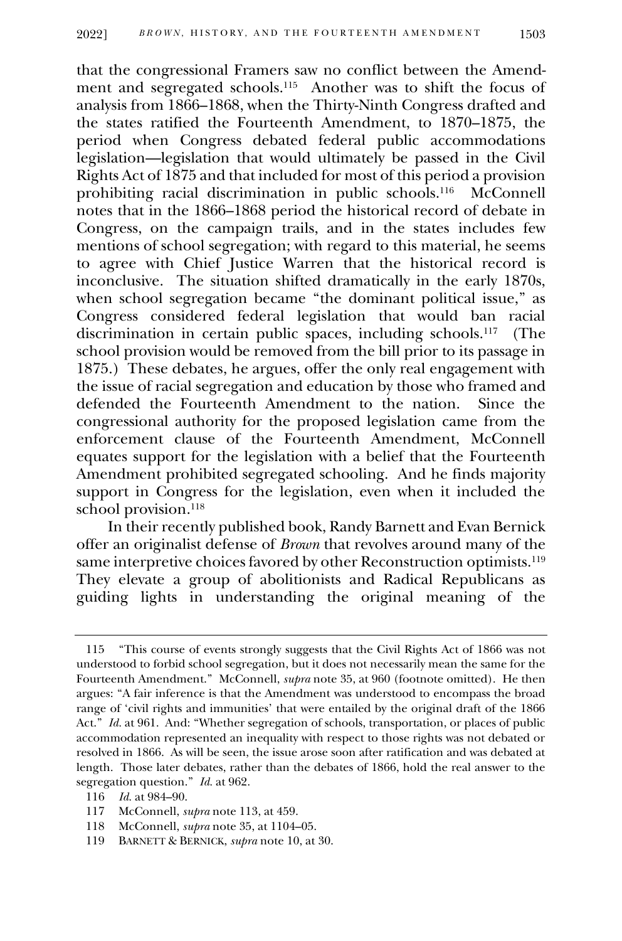that the congressional Framers saw no conflict between the Amendment and segregated schools.<sup>115</sup> Another was to shift the focus of analysis from 1866–1868, when the Thirty-Ninth Congress drafted and the states ratified the Fourteenth Amendment, to 1870–1875, the period when Congress debated federal public accommodations legislation—legislation that would ultimately be passed in the Civil Rights Act of 1875 and that included for most of this period a provision prohibiting racial discrimination in public schools.<sup>116</sup> McConnell notes that in the 1866–1868 period the historical record of debate in Congress, on the campaign trails, and in the states includes few mentions of school segregation; with regard to this material, he seems to agree with Chief Justice Warren that the historical record is inconclusive. The situation shifted dramatically in the early 1870s, when school segregation became "the dominant political issue," as Congress considered federal legislation that would ban racial discrimination in certain public spaces, including schools.<sup>117</sup> (The school provision would be removed from the bill prior to its passage in 1875.) These debates, he argues, offer the only real engagement with the issue of racial segregation and education by those who framed and defended the Fourteenth Amendment to the nation. Since the congressional authority for the proposed legislation came from the enforcement clause of the Fourteenth Amendment, McConnell equates support for the legislation with a belief that the Fourteenth Amendment prohibited segregated schooling. And he finds majority support in Congress for the legislation, even when it included the school provision.<sup>118</sup>

In their recently published book, Randy Barnett and Evan Bernick offer an originalist defense of *Brown* that revolves around many of the same interpretive choices favored by other Reconstruction optimists.<sup>119</sup> They elevate a group of abolitionists and Radical Republicans as guiding lights in understanding the original meaning of the

<sup>115</sup> "This course of events strongly suggests that the Civil Rights Act of 1866 was not understood to forbid school segregation, but it does not necessarily mean the same for the Fourteenth Amendment." McConnell, *supra* note 35, at 960 (footnote omitted). He then argues: "A fair inference is that the Amendment was understood to encompass the broad range of 'civil rights and immunities' that were entailed by the original draft of the 1866 Act." *Id.* at 961. And: "Whether segregation of schools, transportation, or places of public accommodation represented an inequality with respect to those rights was not debated or resolved in 1866. As will be seen, the issue arose soon after ratification and was debated at length. Those later debates, rather than the debates of 1866, hold the real answer to the segregation question." *Id.* at 962.

<sup>116</sup> *Id.* at 984–90.

<sup>117</sup> McConnell, *supra* note 113, at 459.

<sup>118</sup> McConnell, *supra* note 35, at 1104–05.

<sup>119</sup> BARNETT & BERNICK, *supra* note 10, at 30.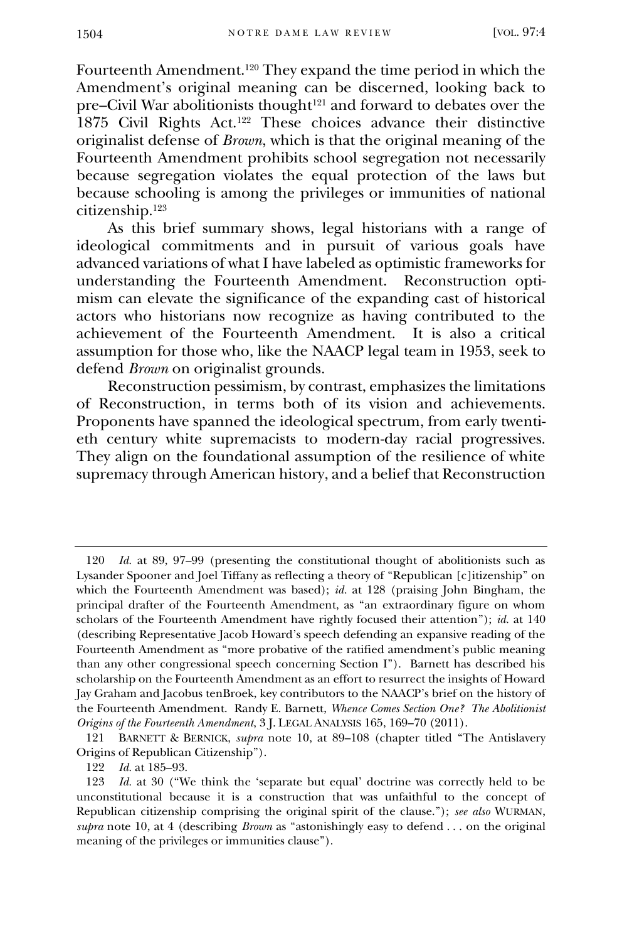Fourteenth Amendment.<sup>120</sup> They expand the time period in which the Amendment's original meaning can be discerned, looking back to pre–Civil War abolitionists thought<sup>121</sup> and forward to debates over the 1875 Civil Rights Act.<sup>122</sup> These choices advance their distinctive originalist defense of *Brown*, which is that the original meaning of the Fourteenth Amendment prohibits school segregation not necessarily because segregation violates the equal protection of the laws but because schooling is among the privileges or immunities of national citizenship.<sup>123</sup>

As this brief summary shows, legal historians with a range of ideological commitments and in pursuit of various goals have advanced variations of what I have labeled as optimistic frameworks for understanding the Fourteenth Amendment. Reconstruction optimism can elevate the significance of the expanding cast of historical actors who historians now recognize as having contributed to the achievement of the Fourteenth Amendment. It is also a critical assumption for those who, like the NAACP legal team in 1953, seek to defend *Brown* on originalist grounds.

Reconstruction pessimism, by contrast, emphasizes the limitations of Reconstruction, in terms both of its vision and achievements. Proponents have spanned the ideological spectrum, from early twentieth century white supremacists to modern-day racial progressives. They align on the foundational assumption of the resilience of white supremacy through American history, and a belief that Reconstruction

<sup>120</sup> *Id.* at 89, 97–99 (presenting the constitutional thought of abolitionists such as Lysander Spooner and Joel Tiffany as reflecting a theory of "Republican [c]itizenship" on which the Fourteenth Amendment was based); *id.* at 128 (praising John Bingham, the principal drafter of the Fourteenth Amendment, as "an extraordinary figure on whom scholars of the Fourteenth Amendment have rightly focused their attention"); *id.* at 140 (describing Representative Jacob Howard's speech defending an expansive reading of the Fourteenth Amendment as "more probative of the ratified amendment's public meaning than any other congressional speech concerning Section I"). Barnett has described his scholarship on the Fourteenth Amendment as an effort to resurrect the insights of Howard Jay Graham and Jacobus tenBroek, key contributors to the NAACP's brief on the history of the Fourteenth Amendment. Randy E. Barnett, *Whence Comes Section One? The Abolitionist Origins of the Fourteenth Amendment*, 3 J. LEGAL ANALYSIS 165, 169–70 (2011).

<sup>121</sup> BARNETT & BERNICK, *supra* note 10, at 89–108 (chapter titled "The Antislavery Origins of Republican Citizenship").

<sup>122</sup> *Id.* at 185–93.

<sup>123</sup> *Id.* at 30 ("We think the 'separate but equal' doctrine was correctly held to be unconstitutional because it is a construction that was unfaithful to the concept of Republican citizenship comprising the original spirit of the clause."); *see also* WURMAN, *supra* note 10, at 4 (describing *Brown* as "astonishingly easy to defend . . . on the original meaning of the privileges or immunities clause").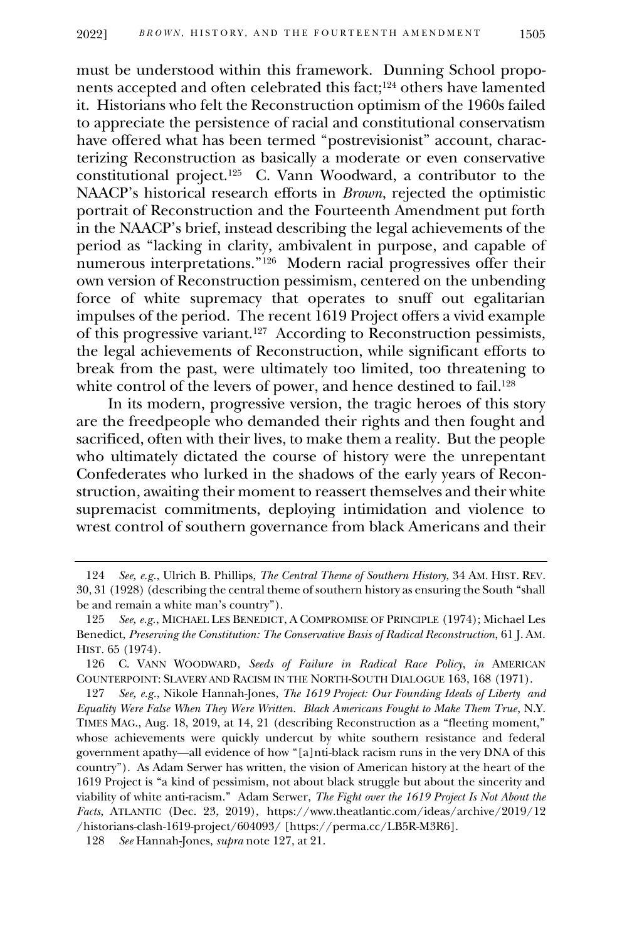must be understood within this framework. Dunning School proponents accepted and often celebrated this fact; <sup>124</sup> others have lamented it. Historians who felt the Reconstruction optimism of the 1960s failed to appreciate the persistence of racial and constitutional conservatism have offered what has been termed "postrevisionist" account, characterizing Reconstruction as basically a moderate or even conservative constitutional project.<sup>125</sup> C. Vann Woodward, a contributor to the NAACP's historical research efforts in *Brown*, rejected the optimistic portrait of Reconstruction and the Fourteenth Amendment put forth in the NAACP's brief, instead describing the legal achievements of the period as "lacking in clarity, ambivalent in purpose, and capable of numerous interpretations."<sup>126</sup> Modern racial progressives offer their own version of Reconstruction pessimism, centered on the unbending force of white supremacy that operates to snuff out egalitarian impulses of the period. The recent 1619 Project offers a vivid example of this progressive variant.<sup>127</sup> According to Reconstruction pessimists, the legal achievements of Reconstruction, while significant efforts to break from the past, were ultimately too limited, too threatening to white control of the levers of power, and hence destined to fail. 128

In its modern, progressive version, the tragic heroes of this story are the freedpeople who demanded their rights and then fought and sacrificed, often with their lives, to make them a reality. But the people who ultimately dictated the course of history were the unrepentant Confederates who lurked in the shadows of the early years of Reconstruction, awaiting their moment to reassert themselves and their white supremacist commitments, deploying intimidation and violence to wrest control of southern governance from black Americans and their

<sup>124</sup> *See, e.g.*, Ulrich B. Phillips, *The Central Theme of Southern History*, 34 AM. HIST. REV. 30, 31 (1928) (describing the central theme of southern history as ensuring the South "shall be and remain a white man's country").

<sup>125</sup> *See, e.g.*, MICHAEL LES BENEDICT, A COMPROMISE OF PRINCIPLE (1974); Michael Les Benedict, *Preserving the Constitution: The Conservative Basis of Radical Reconstruction*, 61 J. AM. HIST. 65 (1974).

<sup>126</sup> C. VANN WOODWARD, *Seeds of Failure in Radical Race Policy*, *in* AMERICAN COUNTERPOINT: SLAVERY AND RACISM IN THE NORTH-SOUTH DIALOGUE 163, 168 (1971).

<sup>127</sup> *See, e.g.*, Nikole Hannah-Jones, *The 1619 Project: Our Founding Ideals of Liberty and Equality Were False When They Were Written. Black Americans Fought to Make Them True*, N.Y. TIMES MAG., Aug. 18, 2019, at 14, 21 (describing Reconstruction as a "fleeting moment," whose achievements were quickly undercut by white southern resistance and federal government apathy—all evidence of how "[a]nti-black racism runs in the very DNA of this country"). As Adam Serwer has written, the vision of American history at the heart of the 1619 Project is "a kind of pessimism, not about black struggle but about the sincerity and viability of white anti-racism." Adam Serwer, *The Fight over the 1619 Project Is Not About the Facts*, ATLANTIC (Dec. 23, 2019), https://www.theatlantic.com/ideas/archive/2019/12 /historians-clash-1619-project/604093/ [https://perma.cc/LB5R-M3R6].

<sup>128</sup> *See* Hannah-Jones, *supra* note 127, at 21.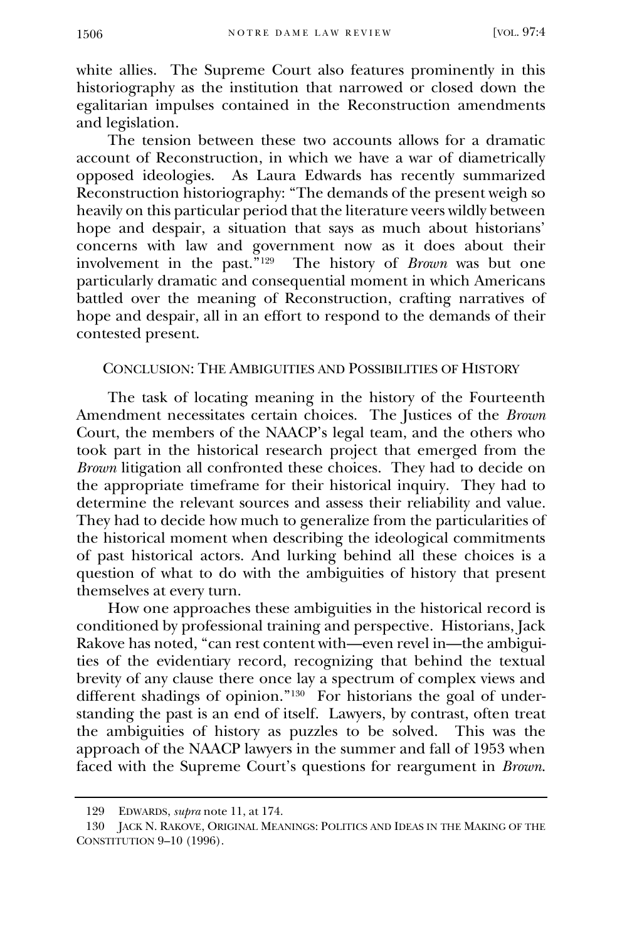white allies. The Supreme Court also features prominently in this historiography as the institution that narrowed or closed down the egalitarian impulses contained in the Reconstruction amendments and legislation.

The tension between these two accounts allows for a dramatic account of Reconstruction, in which we have a war of diametrically opposed ideologies. As Laura Edwards has recently summarized Reconstruction historiography: "The demands of the present weigh so heavily on this particular period that the literature veers wildly between hope and despair, a situation that says as much about historians' concerns with law and government now as it does about their involvement in the past."<sup>129</sup> The history of *Brown* was but one particularly dramatic and consequential moment in which Americans battled over the meaning of Reconstruction, crafting narratives of hope and despair, all in an effort to respond to the demands of their contested present.

## CONCLUSION: THE AMBIGUITIES AND POSSIBILITIES OF HISTORY

The task of locating meaning in the history of the Fourteenth Amendment necessitates certain choices. The Justices of the *Brown* Court, the members of the NAACP's legal team, and the others who took part in the historical research project that emerged from the *Brown* litigation all confronted these choices. They had to decide on the appropriate timeframe for their historical inquiry. They had to determine the relevant sources and assess their reliability and value. They had to decide how much to generalize from the particularities of the historical moment when describing the ideological commitments of past historical actors. And lurking behind all these choices is a question of what to do with the ambiguities of history that present themselves at every turn.

How one approaches these ambiguities in the historical record is conditioned by professional training and perspective. Historians, Jack Rakove has noted, "can rest content with—even revel in—the ambiguities of the evidentiary record, recognizing that behind the textual brevity of any clause there once lay a spectrum of complex views and different shadings of opinion."<sup>130</sup> For historians the goal of understanding the past is an end of itself. Lawyers, by contrast, often treat the ambiguities of history as puzzles to be solved. This was the approach of the NAACP lawyers in the summer and fall of 1953 when faced with the Supreme Court's questions for reargument in *Brown*.

<sup>129</sup> EDWARDS, *supra* note 11, at 174.

<sup>130</sup> JACK N. RAKOVE, ORIGINAL MEANINGS: POLITICS AND IDEAS IN THE MAKING OF THE CONSTITUTION 9–10 (1996).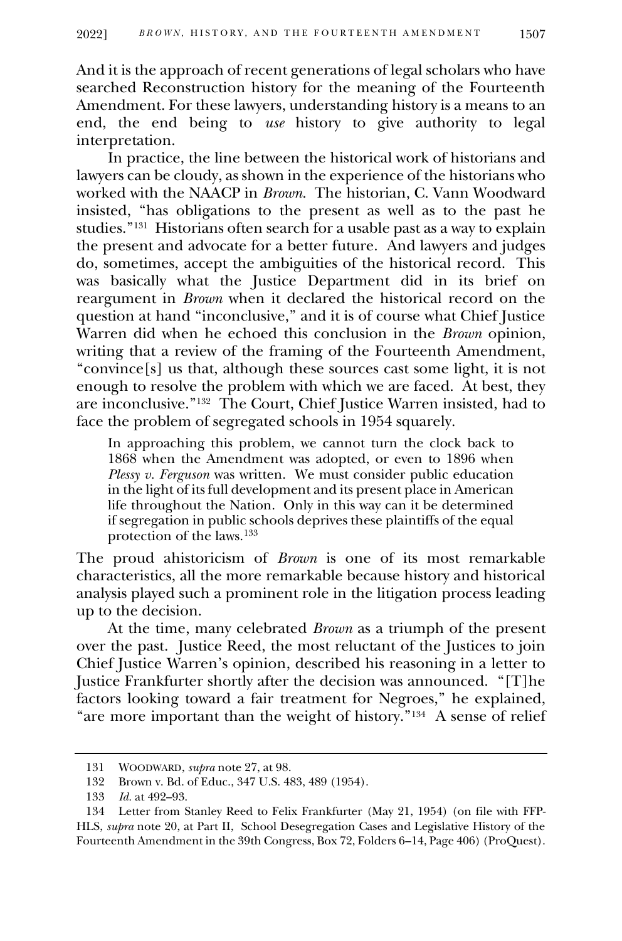And it is the approach of recent generations of legal scholars who have searched Reconstruction history for the meaning of the Fourteenth Amendment. For these lawyers, understanding history is a means to an end, the end being to *use* history to give authority to legal interpretation.

In practice, the line between the historical work of historians and lawyers can be cloudy, as shown in the experience of the historians who worked with the NAACP in *Brown*. The historian, C. Vann Woodward insisted, "has obligations to the present as well as to the past he studies."<sup>131</sup> Historians often search for a usable past as a way to explain the present and advocate for a better future. And lawyers and judges do, sometimes, accept the ambiguities of the historical record. This was basically what the Justice Department did in its brief on reargument in *Brown* when it declared the historical record on the question at hand "inconclusive," and it is of course what Chief Justice Warren did when he echoed this conclusion in the *Brown* opinion, writing that a review of the framing of the Fourteenth Amendment, "convince[s] us that, although these sources cast some light, it is not enough to resolve the problem with which we are faced. At best, they are inconclusive."<sup>132</sup> The Court, Chief Justice Warren insisted, had to face the problem of segregated schools in 1954 squarely.

In approaching this problem, we cannot turn the clock back to 1868 when the Amendment was adopted, or even to 1896 when *Plessy v. Ferguson* was written. We must consider public education in the light of its full development and its present place in American life throughout the Nation. Only in this way can it be determined if segregation in public schools deprives these plaintiffs of the equal protection of the laws.<sup>133</sup>

The proud ahistoricism of *Brown* is one of its most remarkable characteristics, all the more remarkable because history and historical analysis played such a prominent role in the litigation process leading up to the decision.

At the time, many celebrated *Brown* as a triumph of the present over the past. Justice Reed, the most reluctant of the Justices to join Chief Justice Warren's opinion, described his reasoning in a letter to Justice Frankfurter shortly after the decision was announced. "[T]he factors looking toward a fair treatment for Negroes," he explained, "are more important than the weight of history."<sup>134</sup> A sense of relief

<sup>131</sup> WOODWARD, *supra* note 27, at 98.

<sup>132</sup> Brown v. Bd. of Educ., 347 U.S. 483, 489 (1954).

<sup>133</sup> *Id.* at 492–93.

<sup>134</sup> Letter from Stanley Reed to Felix Frankfurter (May 21, 1954) (on file with FFP-HLS, *supra* note 20, at Part II, School Desegregation Cases and Legislative History of the Fourteenth Amendment in the 39th Congress, Box 72, Folders 6–14, Page 406) (ProQuest).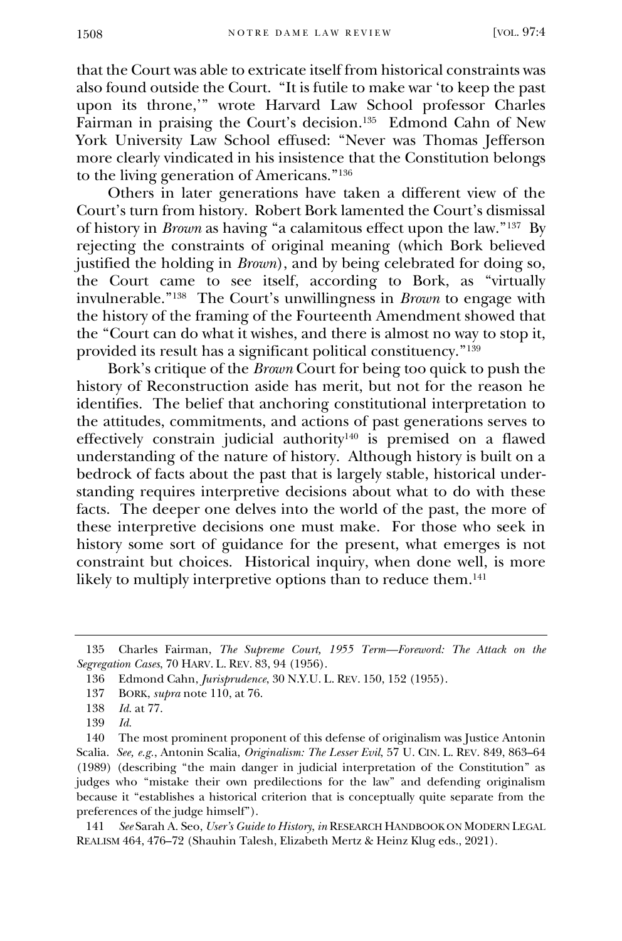that the Court was able to extricate itself from historical constraints was also found outside the Court. "It is futile to make war 'to keep the past upon its throne,'" wrote Harvard Law School professor Charles Fairman in praising the Court's decision.<sup>135</sup> Edmond Cahn of New York University Law School effused: "Never was Thomas Jefferson more clearly vindicated in his insistence that the Constitution belongs to the living generation of Americans."<sup>136</sup>

Others in later generations have taken a different view of the Court's turn from history. Robert Bork lamented the Court's dismissal of history in *Brown* as having "a calamitous effect upon the law."<sup>137</sup> By rejecting the constraints of original meaning (which Bork believed justified the holding in *Brown*), and by being celebrated for doing so, the Court came to see itself, according to Bork, as "virtually invulnerable."<sup>138</sup> The Court's unwillingness in *Brown* to engage with the history of the framing of the Fourteenth Amendment showed that the "Court can do what it wishes, and there is almost no way to stop it, provided its result has a significant political constituency."<sup>139</sup>

Bork's critique of the *Brown* Court for being too quick to push the history of Reconstruction aside has merit, but not for the reason he identifies. The belief that anchoring constitutional interpretation to the attitudes, commitments, and actions of past generations serves to effectively constrain judicial authority<sup>140</sup> is premised on a flawed understanding of the nature of history. Although history is built on a bedrock of facts about the past that is largely stable, historical understanding requires interpretive decisions about what to do with these facts. The deeper one delves into the world of the past, the more of these interpretive decisions one must make. For those who seek in history some sort of guidance for the present, what emerges is not constraint but choices. Historical inquiry, when done well, is more likely to multiply interpretive options than to reduce them. 141

141 *See* Sarah A. Seo, *User's Guide to History*, *in* RESEARCH HANDBOOK ON MODERN LEGAL REALISM 464, 476–72 (Shauhin Talesh, Elizabeth Mertz & Heinz Klug eds., 2021).

<sup>135</sup> Charles Fairman, *The Supreme Court, 1955 Term—Foreword: The Attack on the Segregation Cases*, 70 HARV. L. REV. 83, 94 (1956).

<sup>136</sup> Edmond Cahn, *Jurisprudence*, 30 N.Y.U. L. REV. 150, 152 (1955).

<sup>137</sup> BORK, *supra* note 110, at 76.

<sup>138</sup> *Id.* at 77.

<sup>139</sup> *Id.*

<sup>140</sup> The most prominent proponent of this defense of originalism was Justice Antonin Scalia. *See, e.g.*, Antonin Scalia, *Originalism: The Lesser Evil*, 57 U. CIN. L. REV. 849, 863–64 (1989) (describing "the main danger in judicial interpretation of the Constitution" as judges who "mistake their own predilections for the law" and defending originalism because it "establishes a historical criterion that is conceptually quite separate from the preferences of the judge himself").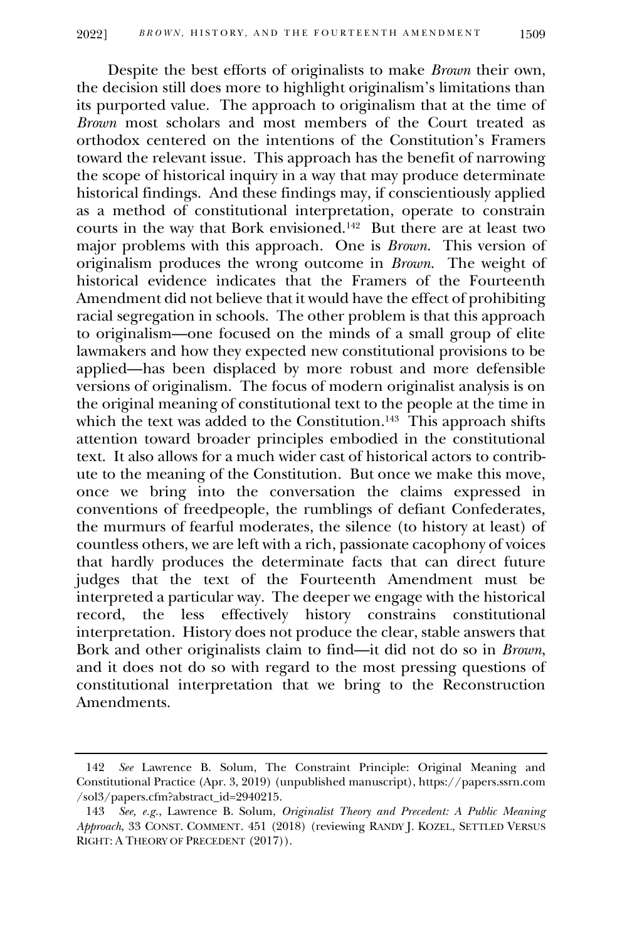Despite the best efforts of originalists to make *Brown* their own, the decision still does more to highlight originalism's limitations than its purported value. The approach to originalism that at the time of *Brown* most scholars and most members of the Court treated as orthodox centered on the intentions of the Constitution's Framers toward the relevant issue. This approach has the benefit of narrowing the scope of historical inquiry in a way that may produce determinate historical findings. And these findings may, if conscientiously applied as a method of constitutional interpretation, operate to constrain courts in the way that Bork envisioned.<sup>142</sup> But there are at least two major problems with this approach. One is *Brown*. This version of originalism produces the wrong outcome in *Brown*. The weight of historical evidence indicates that the Framers of the Fourteenth Amendment did not believe that it would have the effect of prohibiting racial segregation in schools. The other problem is that this approach to originalism—one focused on the minds of a small group of elite lawmakers and how they expected new constitutional provisions to be applied—has been displaced by more robust and more defensible versions of originalism. The focus of modern originalist analysis is on the original meaning of constitutional text to the people at the time in which the text was added to the Constitution.<sup>143</sup> This approach shifts attention toward broader principles embodied in the constitutional text. It also allows for a much wider cast of historical actors to contribute to the meaning of the Constitution. But once we make this move, once we bring into the conversation the claims expressed in conventions of freedpeople, the rumblings of defiant Confederates, the murmurs of fearful moderates, the silence (to history at least) of countless others, we are left with a rich, passionate cacophony of voices that hardly produces the determinate facts that can direct future judges that the text of the Fourteenth Amendment must be interpreted a particular way. The deeper we engage with the historical record, the less effectively history constrains constitutional interpretation. History does not produce the clear, stable answers that Bork and other originalists claim to find—it did not do so in *Brown*, and it does not do so with regard to the most pressing questions of constitutional interpretation that we bring to the Reconstruction Amendments.

<sup>142</sup> *See* Lawrence B. Solum, The Constraint Principle: Original Meaning and Constitutional Practice (Apr. 3, 2019) (unpublished manuscript), https://papers.ssrn.com /sol3/papers.cfm?abstract\_id=2940215.

<sup>143</sup> *See, e.g.*, Lawrence B. Solum, *Originalist Theory and Precedent: A Public Meaning Approach*, 33 CONST. COMMENT. 451 (2018) (reviewing RANDY J. KOZEL, SETTLED VERSUS RIGHT: A THEORY OF PRECEDENT (2017)).